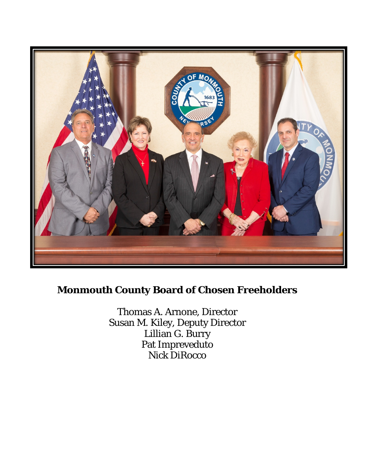

# **Monmouth County Board of Chosen Freeholders**

Thomas A. Arnone, Director Susan M. Kiley, Deputy Director Lillian G. Burry Pat Impreveduto Nick DiRocco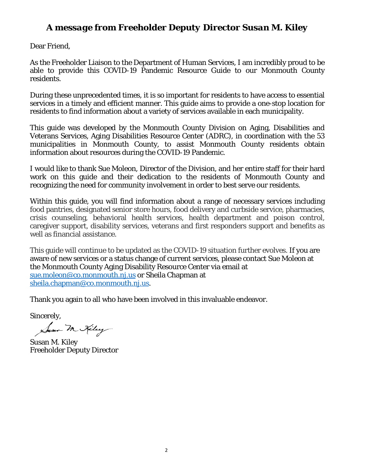# *A message from Freeholder Deputy Director Susan M. Kiley*

Dear Friend,

As the Freeholder Liaison to the Department of Human Services, I am incredibly proud to be able to provide this COVID-19 Pandemic Resource Guide to our Monmouth County residents.

During these unprecedented times, it is so important for residents to have access to essential services in a timely and efficient manner. This guide aims to provide a one-stop location for residents to find information about a variety of services available in each municipality.

This guide was developed by the Monmouth County Division on Aging, Disabilities and Veterans Services, Aging Disabilities Resource Center (ADRC), in coordination with the 53 municipalities in Monmouth County, to assist Monmouth County residents obtain information about resources during the COVID-19 Pandemic.

I would like to thank Sue Moleon, Director of the Division, and her entire staff for their hard work on this guide and their dedication to the residents of Monmouth County and recognizing the need for community involvement in order to best serve our residents.

Within this guide, you will find information about a range of necessary services including food pantries, designated senior store hours, food delivery and curbside service, pharmacies, crisis counseling, behavioral health services, health department and poison control, caregiver support, disability services, veterans and first responders support and benefits as well as financial assistance.

This guide will continue to be updated as the COVID-19 situation further evolves. If you are aware of new services or a status change of current services, please contact Sue Moleon at the Monmouth County Aging Disability Resource Center via email at [sue.moleon@co.monmouth.nj.us](mailto:sue.moleon@co.monmouth.nj.us) or Sheila Chapman at [sheila.chapman@co.monmouth.nj.us.](mailto:sheila.chapman@co.monmouth.nj.us)

Thank you again to all who have been involved in this invaluable endeavor.

Sincerely,

Suan M Kiley

Susan M. Kiley Freeholder Deputy Director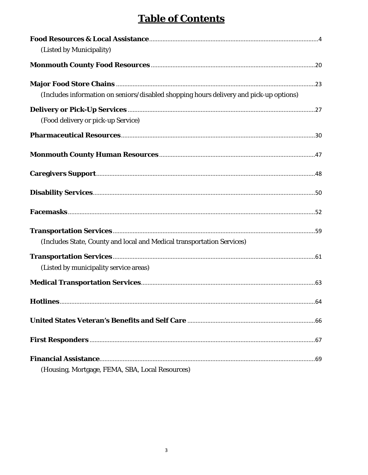# **Table of Contents**

| (Listed by Municipality)                                                               |     |
|----------------------------------------------------------------------------------------|-----|
|                                                                                        |     |
|                                                                                        |     |
| (Includes information on seniors/disabled shopping hours delivery and pick-up options) |     |
|                                                                                        |     |
| (Food delivery or pick-up Service)                                                     |     |
|                                                                                        |     |
|                                                                                        |     |
|                                                                                        |     |
|                                                                                        |     |
|                                                                                        |     |
|                                                                                        |     |
| (Includes State, County and local and Medical transportation Services)                 |     |
|                                                                                        |     |
| (Listed by municipality service areas)                                                 |     |
|                                                                                        |     |
| Hotlines                                                                               | .64 |
|                                                                                        |     |
|                                                                                        |     |
|                                                                                        |     |
| (Housing, Mortgage, FEMA, SBA, Local Resources)                                        |     |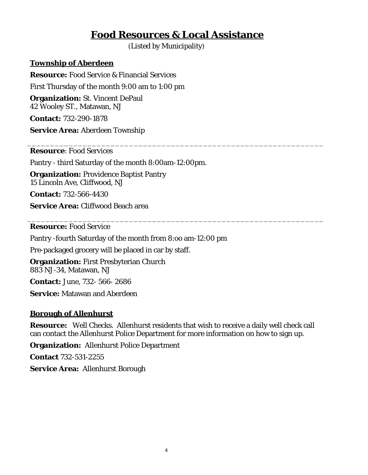# **Food Resources & Local Assistance**

\_\_\_\_\_\_\_\_\_\_\_\_\_\_\_\_\_\_\_\_\_\_\_\_\_\_\_\_\_\_\_\_\_\_\_\_\_\_\_\_\_\_\_\_\_\_\_\_\_\_\_\_\_\_\_\_\_\_\_\_\_\_\_\_

\_\_\_\_\_\_\_\_\_\_\_\_\_\_\_\_\_\_\_\_\_\_\_\_\_\_\_\_\_\_\_\_\_\_\_\_\_\_\_\_\_\_\_\_\_\_\_\_\_\_\_\_\_\_\_\_\_\_\_\_\_\_\_\_

(Listed by Municipality)

### <span id="page-3-1"></span><span id="page-3-0"></span>**Township of Aberdeen**

**Resource:** Food Service & Financial Services First Thursday of the month 9:00 am to 1:00 pm **Organization:** St. Vincent DePaul 42 Wooley ST., Matawan, NJ

**Contact:** 732-290-1878

**Service Area:** Aberdeen Township

**Resource**: Food Services

Pantry - third Saturday of the month 8:00am-12:00pm.

**Organization:** Providence Baptist Pantry 15 Lincoln Ave, Cliffwood, NJ

**Contact:** 732-566-4430

**Service Area:** Cliffwood Beach area

**Resource:** Food Service

Pantry -fourth Saturday of the month from 8:oo am-12:00 pm

Pre-packaged grocery will be placed in car by staff.

**Organization:** First Presbyterian Church 883 NJ-34, Matawan, NJ

**Contact:** June, 732- 566- 2686

**Service:** Matawan and Aberdeen

### **Borough of Allenhurst**

**Resource:** Well Checks. Allenhurst residents that wish to receive a daily well check call can contact the Allenhurst Police Department for more information on how to sign up.

**Organization:** Allenhurst Police Department

**Contact** 732-531-2255

**Service Area:** Allenhurst Borough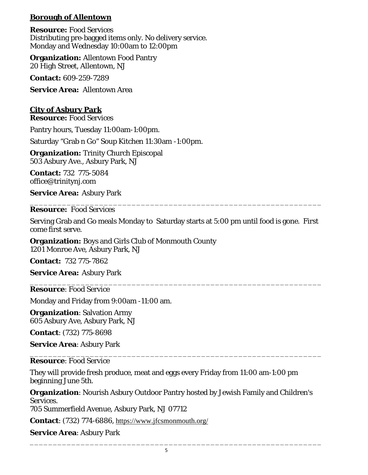## **Borough of Allentown**

**Resource:** Food Services Distributing pre-bagged items only. No delivery service. Monday and Wednesday 10:00am to 12:00pm

**Organization:** Allentown Food Pantry 20 High Street, Allentown, NJ

**Contact:** 609-259-7289

**Service Area:** Allentown Area

## **City of Asbury Park**

**Resource:** Food Services

Pantry hours, Tuesday 11:00am-1:00pm.

Saturday "Grab n Go" Soup Kitchen 11:30am -1:00pm.

**Organization:** Trinity Church Episcopal 503 Asbury Ave., Asbury Park, NJ

**Contact:** 732 775-5084 office@trinitynj.com

**Service Area:** Asbury Park

\_\_\_\_\_\_\_\_\_\_\_\_\_\_\_\_\_\_\_\_\_\_\_\_\_\_\_\_\_\_\_\_\_\_\_\_\_\_\_\_\_\_\_\_\_\_\_\_\_\_\_\_\_\_\_\_\_\_\_\_\_\_\_ **Resource:** Food Services

Serving Grab and Go meals Monday to Saturday starts at 5:00 pm until food is gone. First come first serve.

**Organization:** Boys and Girls Club of Monmouth County 1201 Monroe Ave, Asbury Park, NJ

**Contact:** 732 775-7862

**Service Area:** Asbury Park

\_\_\_\_\_\_\_\_\_\_\_\_\_\_\_\_\_\_\_\_\_\_\_\_\_\_\_\_\_\_\_\_\_\_\_\_\_\_\_\_\_\_\_\_\_\_\_\_\_\_\_\_\_\_\_\_\_\_\_\_\_\_\_ **Resource**: Food Service

Monday and Friday from 9:00am -11:00 am.

**Organization**: Salvation Army 605 Asbury Ave, Asbury Park, NJ

**Contact**: (732) 775-8698

**Service Area**: Asbury Park

\_\_\_\_\_\_\_\_\_\_\_\_\_\_\_\_\_\_\_\_\_\_\_\_\_\_\_\_\_\_\_\_\_\_\_\_\_\_\_\_\_\_\_\_\_\_\_\_\_\_\_\_\_\_\_\_\_\_\_\_\_\_\_ **Resource**: Food Service

They will provide fresh produce, meat and eggs every Friday from 11:00 am-1:00 pm beginning June 5th.

**Organization**: Nourish Asbury Outdoor Pantry hosted by Jewish Family and Children's Services. 705 Summerfield Avenue, Asbury Park, NJ 07712

**Contact**: (732) 774-6886, <https://www.jfcsmonmouth.org/>

**Service Area**: Asbury Park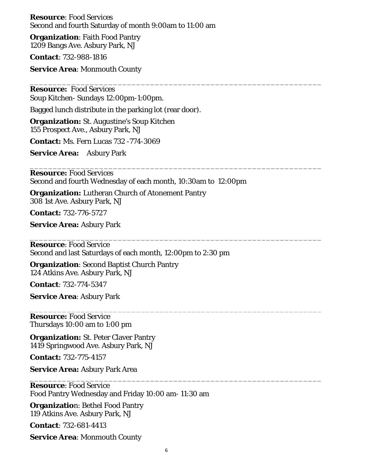**Resource**: Food Services Second and fourth Saturday of month 9:00am to 11:00 am

**Organization**: Faith Food Pantry 1209 Bangs Ave. Asbury Park, NJ

**Contact**: 732-988-1816

**Service Area**: Monmouth County

**Resource:** Food Services Soup Kitchen- Sundays 12:00pm-1:00pm.

Bagged lunch distribute in the parking lot (rear door).

**Organization:** St. Augustine's Soup Kitchen 155 Prospect Ave., Asbury Park, NJ

**Contact:** Ms. Fern Lucas 732 -774-3069

**Service Area:** Asbury Park

\_\_\_\_\_\_\_\_\_\_\_\_\_\_\_\_\_\_\_\_\_\_\_\_\_\_\_\_\_\_\_\_\_\_\_\_\_\_\_\_\_\_\_\_\_\_\_\_\_\_\_\_\_\_\_\_\_\_\_\_\_\_\_ **Resource:** Food Services Second and fourth Wednesday of each month, 10:30am to 12:00pm

\_\_\_\_\_\_\_\_\_\_\_\_\_\_\_\_\_\_\_\_\_\_\_\_\_\_\_\_\_\_\_\_\_\_\_\_\_\_\_\_\_\_\_\_\_\_\_\_\_\_\_\_\_\_\_\_\_\_\_\_\_\_\_

**Organization:** Lutheran Church of Atonement Pantry

308 1st Ave. Asbury Park, NJ

**Contact:** 732-776-5727

**Service Area:** Asbury Park

\_\_\_\_\_\_\_\_\_\_\_\_\_\_\_\_\_\_\_\_\_\_\_\_\_\_\_\_\_\_\_\_\_\_\_\_\_\_\_\_\_\_\_\_\_\_\_\_\_\_\_\_\_\_\_\_\_\_\_\_\_\_\_ **Resource**: Food Service Second and last Saturdays of each month, 12:00pm to 2:30 pm

**Organization**: Second Baptist Church Pantry 124 Atkins Ave. Asbury Park, NJ

**Contact**: 732-774-5347

**Service Area**: Asbury Park

\_\_\_\_\_\_\_\_\_\_\_\_\_\_\_\_\_\_\_\_\_\_\_\_\_\_\_\_\_\_\_\_\_\_\_\_\_\_\_\_\_\_\_\_\_\_\_\_\_\_\_\_\_\_\_\_\_\_\_\_\_\_\_ **Resource:** Food Service Thursdays 10:00 am to 1:00 pm

**Organization:** St. Peter Claver Pantry 1419 Springwood Ave. Asbury Park, NJ

**Contact:** 732-775-4157

**Service Area:** Asbury Park Area

\_\_\_\_\_\_\_\_\_\_\_\_\_\_\_\_\_\_\_\_\_\_\_\_\_\_\_\_\_\_\_\_\_\_\_\_\_\_\_\_\_\_\_\_\_\_\_\_\_\_\_\_\_\_\_\_\_\_\_\_\_\_\_ **Resource**: Food Service Food Pantry Wednesday and Friday 10:00 am- 11:30 am

**Organizatio**n: Bethel Food Pantry 119 Atkins Ave. Asbury Park, NJ

**Contact**: 732-681-4413

**Service Area**: Monmouth County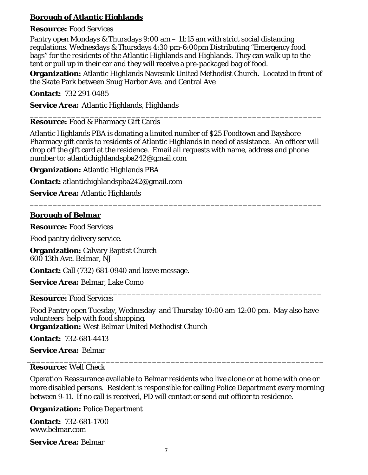# **Borough of Atlantic Highlands**

### **Resource:** Food Services

Pantry open Mondays & Thursdays 9:00 am – 11:15 am with strict social distancing regulations. Wednesdays & Thursdays 4:30 pm-6:00pm Distributing "Emergency food bags" for the residents of the Atlantic Highlands and Highlands. They can walk up to the tent or pull up in their car and they will receive a pre-packaged bag of food.

**Organization:** Atlantic Highlands Navesink United Methodist Church. Located in front of the Skate Park between Snug Harbor Ave. and Central Ave

**Contact:** 732 291-0485

**Service Area:** Atlantic Highlands, Highlands

#### \_\_\_\_\_\_\_\_\_\_\_\_\_\_\_\_\_\_\_\_\_\_\_\_\_\_\_\_\_\_\_\_\_\_\_\_\_\_\_\_\_\_\_\_\_\_\_\_\_\_\_\_\_\_\_\_\_\_\_\_\_\_\_ **Resource:** Food & Pharmacy Gift Cards

Atlantic Highlands PBA is donating a limited number of \$25 Foodtown and Bayshore Pharmacy gift cards to residents of Atlantic Highlands in need of assistance. An officer will drop off the gift card at the residence. Email all requests with name, address and phone number to: atlantichighlandspba242@gmail.com

\_\_\_\_\_\_\_\_\_\_\_\_\_\_\_\_\_\_\_\_\_\_\_\_\_\_\_\_\_\_\_\_\_\_\_\_\_\_\_\_\_\_\_\_\_\_\_\_\_\_\_\_\_\_\_\_\_\_\_\_\_\_\_

**Organization:** Atlantic Highlands PBA

**Contact:** atlantichighlandspba242@gmail.com

**Service Area:** Atlantic Highlands

### **Borough of Belmar**

**Resource:** Food Services

Food pantry delivery service.

**Organization: Calvary Baptist Church** 600 13th Ave. Belmar, NJ

**Contact:** Call (732) 681-0940 and leave message.

**Service Area:** Belmar, Lake Como

#### \_\_\_\_\_\_\_\_\_\_\_\_\_\_\_\_\_\_\_\_\_\_\_\_\_\_\_\_\_\_\_\_\_\_\_\_\_\_\_\_\_\_\_\_\_\_\_\_\_\_\_\_\_\_\_\_\_\_\_\_\_\_\_ **Resource:** Food Services

Food Pantry open Tuesday, Wednesday and Thursday 10:00 am-12:00 pm. May also have volunteers help with food shopping.

**Organization:** West Belmar United Methodist Church

**Contact:** 732-681-4413

**Service Area:** Belmar

### **Resource:** Well Check

Operation Reassurance available to Belmar residents who live alone or at home with one or more disabled persons. Resident is responsible for calling Police Department every morning between 9-11. If no call is received, PD will contact or send out officer to residence.

\_\_\_\_\_\_\_\_\_\_\_\_\_\_\_\_\_\_\_\_\_\_\_\_\_\_\_\_\_\_\_\_\_\_\_\_\_\_\_\_\_\_\_\_\_\_\_\_\_\_\_\_\_\_\_\_\_\_\_\_\_\_\_\_

**Organization:** Police Department

**Contact:** 732-681-1700 www.belmar.com

**Service Area:** Belmar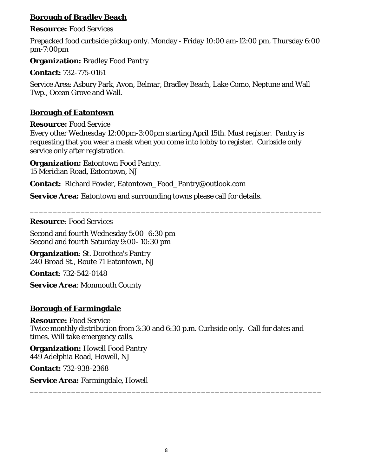# **Borough of Bradley Beach**

### **Resource:** Food Services

Prepacked food curbside pickup only. Monday - Friday 10:00 am-12:00 pm, Thursday 6:00 pm-7:00pm

**Organization:** Bradley Food Pantry

**Contact:** 732-775-0161

Service Area: Asbury Park, Avon, Belmar, Bradley Beach, Lake Como, Neptune and Wall Twp., Ocean Grove and Wall.

## **Borough of Eatontown**

**Resource:** Food Service

Every other Wednesday 12:00pm-3:00pm starting April 15th. Must register. Pantry is requesting that you wear a mask when you come into lobby to register. Curbside only service only after registration.

\_\_\_\_\_\_\_\_\_\_\_\_\_\_\_\_\_\_\_\_\_\_\_\_\_\_\_\_\_\_\_\_\_\_\_\_\_\_\_\_\_\_\_\_\_\_\_\_\_\_\_\_\_\_\_\_\_\_\_\_\_\_\_

**Organization:** Eatontown Food Pantry. 15 Meridian Road, Eatontown, NJ

**Contact:** Richard Fowler, Eatontown\_Food\_Pantry@outlook.com

**Service Area:** Eatontown and surrounding towns please call for details.

### **Resource**: Food Services

Second and fourth Wednesday 5:00- 6:30 pm Second and fourth Saturday 9:00- 10:30 pm

**Organization**: St. Dorothea's Pantry 240 Broad St., Route 71 Eatontown, NJ

**Contact**: 732-542-0148

**Service Area**: Monmouth County

# **Borough of Farmingdale**

### **Resource:** Food Service

Twice monthly distribution from 3:30 and 6:30 p.m. Curbside only. Call for dates and times. Will take emergency calls.

\_\_\_\_\_\_\_\_\_\_\_\_\_\_\_\_\_\_\_\_\_\_\_\_\_\_\_\_\_\_\_\_\_\_\_\_\_\_\_\_\_\_\_\_\_\_\_\_\_\_\_\_\_\_\_\_\_\_\_\_\_\_\_

**Organization:** Howell Food Pantry 449 Adelphia Road, Howell, NJ

**Contact:** 732-938-2368

**Service Area:** Farmingdale, Howell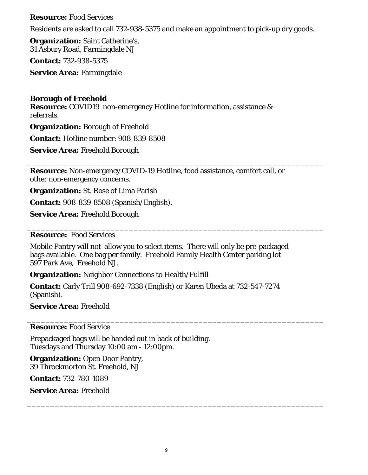### **Resource:** Food Services

Residents are asked to call 732-938-5375 and make an appointment to pick-up dry goods.

**Organization:** Saint Catherine's, 31 Asbury Road, Farmingdale NJ

**Contact:** 732-938-5375

**Service Area:** Farmingdale

### **Borough of Freehold**

**Resource:** COVID19 non-emergency Hotline for information, assistance & referrals.

**Organization:** Borough of Freehold

**Contact:** Hotline number: 908-839-8508

**Service Area:** Freehold Borough

**Resource:** Non-emergency COVID-19 Hotline, food assistance, comfort call, or other non-emergency concerns.

\_\_\_\_\_\_\_\_\_\_\_\_\_\_\_\_\_\_\_\_\_\_\_\_\_\_\_\_\_\_\_\_\_\_\_\_\_\_\_\_\_\_\_\_\_\_\_\_\_\_\_\_\_\_\_\_\_\_\_\_\_\_\_\_

\_\_\_\_\_\_\_\_\_\_\_\_\_\_\_\_\_\_\_\_\_\_\_\_\_\_\_\_\_\_\_\_\_\_\_\_\_\_\_\_\_\_\_\_\_\_\_\_\_\_\_\_\_\_\_\_\_\_\_\_\_\_\_\_

\_\_\_\_\_\_\_\_\_\_\_\_\_\_\_\_\_\_\_\_\_\_\_\_\_\_\_\_\_\_\_\_\_\_\_\_\_\_\_\_\_\_\_\_\_\_\_\_\_\_\_\_\_\_\_\_\_\_\_\_\_\_\_\_

\_\_\_\_\_\_\_\_\_\_\_\_\_\_\_\_\_\_\_\_\_\_\_\_\_\_\_\_\_\_\_\_\_\_\_\_\_\_\_\_\_\_\_\_\_\_\_\_\_\_\_\_\_\_\_\_\_\_\_\_\_\_\_\_

**Organization:** St. Rose of Lima Parish

**Contact:** 908-839-8508 (Spanish/English).

**Service Area:** Freehold Borough

### **Resource:** Food Services

Mobile Pantry will not allow you to select items. There will only be pre-packaged bags available. One bag per family. Freehold Family Health Center parking lot 597 Park Ave, Freehold NJ.

**Organization:** Neighbor Connections to Health/Fulfill

**Contact:** Carly Trill 908-692-7338 (English) or Karen Ubeda at 732-547-7274 (Spanish).

**Service Area:** Freehold

**Resource:** Food Service

Prepackaged bags will be handed out in back of building. Tuesdays and Thursday 10:00 am - 12:00pm.

**Organization:** Open Door Pantry, 39 Throckmorton St. Freehold, NJ

**Contact:** 732-780-1089

**Service Area:** Freehold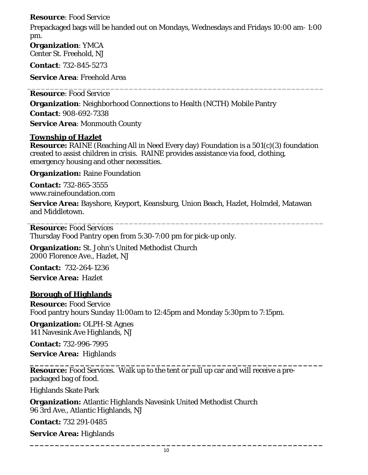## **Resource**: Food Service

Prepackaged bags will be handed out on Mondays, Wednesdays and Fridays 10:00 am- 1:00 pm.

**Organization**: YMCA Center St. Freehold, NJ

**Contact**: 732-845-5273

**Service Area**: Freehold Area

\_\_\_\_\_\_\_\_\_\_\_\_\_\_\_\_\_\_\_\_\_\_\_\_\_\_\_\_\_\_\_\_\_\_\_\_\_\_\_\_\_\_\_\_\_\_\_\_\_\_\_\_\_\_\_\_\_\_\_\_\_\_\_\_ **Resource**: Food Service

**Organization**: Neighborhood Connections to Health (NCTH) Mobile Pantry **Contact**: 908-692-7338 **Service Area**: Monmouth County

### **Township of Hazlet**

**Resource:** RAINE (Reaching All in Need Every day) Foundation is a 501(c)(3) foundation created to assist children in crisis. RAINE provides assistance via food, clothing, emergency housing and other necessities.

**Organization:** Raine Foundation

**Contact:** 732-865-3555 www.rainefoundation.com

**Service Area:** Bayshore, Keyport, Keansburg, Union Beach, Hazlet, Holmdel, Matawan and Middletown.

\_\_\_\_\_\_\_\_\_\_\_\_\_\_\_\_\_\_\_\_\_\_\_\_\_\_\_\_\_\_\_\_\_\_\_\_\_\_\_\_\_\_\_\_\_\_\_\_\_\_\_\_\_\_\_\_\_\_\_\_\_\_\_\_ **Resource:** Food Services Thursday Food Pantry open from 5:30-7:00 pm for pick-up only.

**Organization:** St. John's United Methodist Church 2000 Florence Ave., Hazlet, NJ

**Contact:** 732-264-1236 **Service Area:** Hazlet

# **Borough of Highlands**

**Resource:** Food Service Food pantry hours Sunday 11:00am to 12:45pm and Monday 5:30pm to 7:15pm.

**Organization:** OLPH-St Agnes 141 Navesink Ave Highlands, NJ

**Contact:** 732-996-7995 **Service Area:** Highlands

**\_\_\_\_\_\_\_\_\_\_\_\_\_\_\_\_\_\_\_\_\_\_\_\_\_\_\_\_\_\_\_\_\_\_\_\_\_\_\_\_\_\_\_\_\_\_\_\_\_\_\_\_\_\_\_\_\_\_ Resource:** Food Services. Walk up to the tent or pull up car and will receive a prepackaged bag of food.

Highlands Skate Park

**Organization:** Atlantic Highlands Navesink United Methodist Church 96 3rd Ave., Atlantic Highlands, NJ

**Contact:** 732 291-0485

**Service Area:** Highlands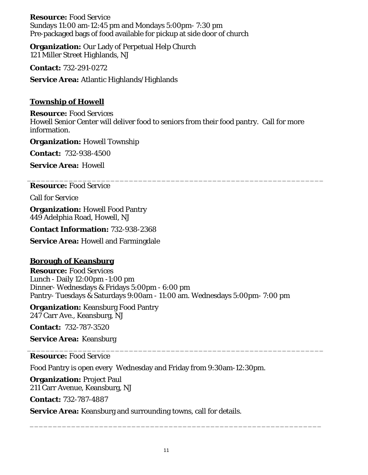**Resource:** Food Service Sundays 11:00 am-12:45 pm and Mondays 5:00pm- 7:30 pm Pre-packaged bags of food available for pickup at side door of church

**Organization:** Our Lady of Perpetual Help Church 121 Miller Street Highlands, NJ

**Contact:** 732-291-0272

**Service Area:** Atlantic Highlands/Highlands

## **Township of Howell**

**Resource:** Food Services Howell Senior Center will deliver food to seniors from their food pantry. Call for more information.

\_\_\_\_\_\_\_\_\_\_\_\_\_\_\_\_\_\_\_\_\_\_\_\_\_\_\_\_\_\_\_\_\_\_\_\_\_\_\_\_\_\_\_\_\_\_\_\_\_\_\_\_\_\_\_\_\_\_\_\_\_\_\_\_

**Organization:** Howell Township

**Contact:** 732-938-4500

**Service Area:** Howell

**Resource:** Food Service

Call for Service

**Organization:** Howell Food Pantry 449 Adelphia Road, Howell, NJ

**Contact Information:** 732-938-2368

**Service Area:** Howell and Farmingdale

### **Borough of Keansburg**

**Resource:** Food Services Lunch - Daily 12:00pm -1:00 pm Dinner- Wednesdays & Fridays 5:00pm - 6:00 pm Pantry- Tuesdays & Saturdays 9:00am - 11:00 am. Wednesdays 5:00pm- 7:00 pm

**Organization:** Keansburg Food Pantry 247 Carr Ave., Keansburg, NJ

**Contact:** 732-787-3520

**Service Area:** Keansburg

\_\_\_\_\_\_\_\_\_\_\_\_\_\_\_\_\_\_\_\_\_\_\_\_\_\_\_\_\_\_\_\_\_\_\_\_\_\_\_\_\_\_\_\_\_\_\_\_\_\_\_\_\_\_\_\_\_\_\_\_\_\_\_\_ **Resource:** Food Service

Food Pantry is open every Wednesday and Friday from 9:30am-12:30pm.

**Organization:** Project Paul 211 Carr Avenue, Keansburg, NJ

**Contact:** 732-787-4887

**Service Area:** Keansburg and surrounding towns, call for details.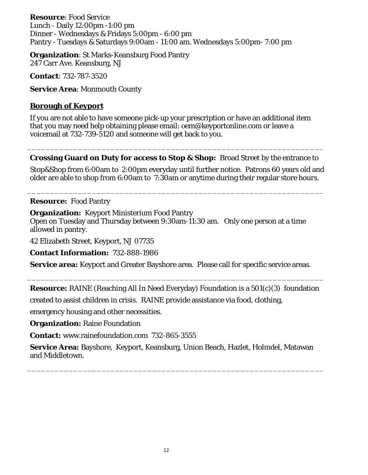**Resource**: Food Service Lunch - Daily 12:00pm -1:00 pm Dinner - Wednesdays & Fridays 5:00pm - 6:00 pm Pantry - Tuesdays & Saturdays 9:00am - 11:00 am. Wednesdays 5:00pm- 7:00 pm

**Organization**: St Marks-Keansburg Food Pantry 247 Carr Ave. Keansburg, NJ

**Contact**: 732-787-3520

**Service Area**: Monmouth County

### **Borough of Keyport**

If you are not able to have someone pick-up your prescription or have an additional item that you may need help obtaining please email: oem@keyportonline.com or leave a voicemail at 732-739-5120 and someone will get back to you.

\_\_\_\_\_\_\_\_\_\_\_\_\_\_\_\_\_\_\_\_\_\_\_\_\_\_\_\_\_\_\_\_\_\_\_\_\_\_\_\_\_\_\_\_\_\_\_\_\_\_\_\_\_\_\_\_\_\_\_\_\_\_\_\_ **Crossing Guard on Duty for access to Stop & Shop:** Broad Street by the entrance to

Stop&Shop from 6:00am to 2:00pm everyday until further notice. Patrons 60 years old and older are able to shop from 6:00am to 7:30am or anytime during their regular store hours.

\_\_\_\_\_\_\_\_\_\_\_\_\_\_\_\_\_\_\_\_\_\_\_\_\_\_\_\_\_\_\_\_\_\_\_\_\_\_\_\_\_\_\_\_\_\_\_\_\_\_\_\_\_\_\_\_\_\_\_\_\_\_\_\_

### **Resource:** Food Pantry

**Organization:** Keyport Ministerium Food Pantry Open on Tuesday and Thursday between 9:30am-11:30 am. Only one person at a time

allowed in pantry.

42 Elizabeth Street, Keyport, NJ 07735

**Contact Information:** 732-888-1986

**Service area:** Keyport and Greater Bayshore area. Please call for specific service areas.

\_\_\_\_\_\_\_\_\_\_\_\_\_\_\_\_\_\_\_\_\_\_\_\_\_\_\_\_\_\_\_\_\_\_\_\_\_\_\_\_\_\_\_\_\_\_\_\_\_\_\_\_\_\_\_\_\_\_\_\_\_\_\_\_ **Resource:** RAINE (Reaching All In Need Everyday) Foundation is a 501(c)(3) foundation

created to assist children in crisis. RAINE provide assistance via food, clothing,

emergency housing and other necessities.

**Organization:** Raine Foundation

**Contact:** www.rainefoundation.com 732-865-3555

**Service Area:** Bayshore, Keyport, Keansburg, Union Beach, Hazlet, Holmdel, Matawan and Middletown.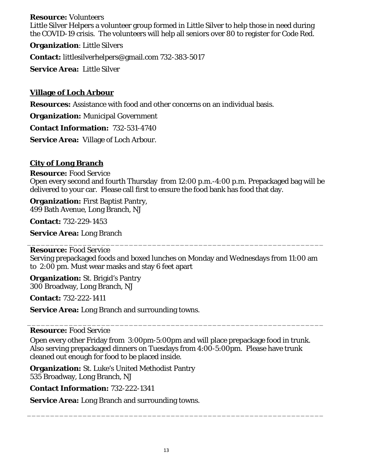### **Resource:** Volunteers

Little Silver Helpers a volunteer group formed in Little Silver to help those in need during the COVID-19 crisis. The volunteers will help all seniors over 80 to register for Code Red.

**Organization**: Little Silvers

**Contact:** littlesilverhelpers@gmail.com 732-383-5017

**Service Area:** Little Silver

### **Village of Loch Arbour**

**Resources:** Assistance with food and other concerns on an individual basis.

**Organization:** Municipal Government

**Contact Information:** 732-531-4740

**Service Area:** Village of Loch Arbour.

### **City of Long Branch**

**Resource:** Food Service Open every second and fourth Thursday from 12:00 p.m.-4:00 p.m. Prepackaged bag will be delivered to your car. Please call first to ensure the food bank has food that day.

**Organization:** First Baptist Pantry, 499 Bath Avenue, Long Branch, NJ

**Contact:** 732-229-1453

**Service Area:** Long Branch

**Resource:** Food Service Serving prepackaged foods and boxed lunches on Monday and Wednesdays from 11:00 am to 2:00 pm. Must wear masks and stay 6 feet apart

\_\_\_\_\_\_\_\_\_\_\_\_\_\_\_\_\_\_\_\_\_\_\_\_\_\_\_\_\_\_\_\_\_\_\_\_\_\_\_\_\_\_\_\_\_\_\_\_\_\_\_\_\_\_\_\_\_\_\_\_\_\_\_\_

**Organization:** St. Brigid's Pantry 300 Broadway, Long Branch, NJ

**Contact:** 732-222-1411

**Service Area:** Long Branch and surrounding towns.

### **Resource:** Food Service

Open every other Friday from 3:00pm-5:00pm and will place prepackage food in trunk. Also serving prepackaged dinners on Tuesdays from 4:00-5:00pm. Please have trunk cleaned out enough for food to be placed inside.

\_\_\_\_\_\_\_\_\_\_\_\_\_\_\_\_\_\_\_\_\_\_\_\_\_\_\_\_\_\_\_\_\_\_\_\_\_\_\_\_\_\_\_\_\_\_\_\_\_\_\_\_\_\_\_\_\_\_\_\_\_\_\_\_

**Organization:** St. Luke's United Methodist Pantry 535 Broadway, Long Branch, NJ

**Contact Information:** 732-222-1341

**Service Area:** Long Branch and surrounding towns.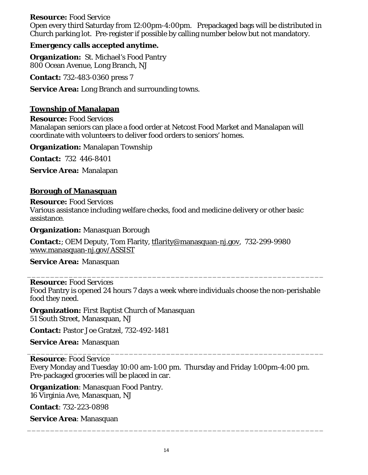### **Resource:** Food Service

Open every third Saturday from 12:00pm-4:00pm. Prepackaged bags will be distributed in Church parking lot. Pre-register if possible by calling number below but not mandatory.

### **Emergency calls accepted anytime.**

**Organization:** St. Michael's Food Pantry 800 Ocean Avenue, Long Branch, NJ

**Contact:** 732-483-0360 press 7

**Service Area:** Long Branch and surrounding towns.

### **Township of Manalapan**

**Resource:** Food Services

Manalapan seniors can place a food order at Netcost Food Market and Manalapan will coordinate with volunteers to deliver food orders to seniors' homes.

**Organization:** Manalapan Township

**Contact:** 732 446-8401

**Service Area:** Manalapan

### **Borough of Manasquan**

**Resource:** Food Services Various assistance including welfare checks, food and medicine delivery or other basic assistance.

**Organization:** Manasquan Borough

**Contact:**; OEM Deputy, Tom Flarity, [tflarity@manasquan-nj.gov,](mailto:tflarity@manasquan-nj.gov) 732-299-9980 [www.manasquan-nj.gov/ASSIST](http://www.manasquan-nj.gov/ASSIST)

**Service Area:** Manasquan

### **Resource:** Food Services

Food Pantry is opened 24 hours 7 days a week where individuals choose the non-perishable food they need.

\_\_\_\_\_\_\_\_\_\_\_\_\_\_\_\_\_\_\_\_\_\_\_\_\_\_\_\_\_\_\_\_\_\_\_\_\_\_\_\_\_\_\_\_\_\_\_\_\_\_\_\_\_\_\_\_\_\_\_\_\_\_\_\_

**Organization:** First Baptist Church of Manasquan 51 South Street, Manasquan, NJ

**Contact:** Pastor Joe Gratzel, 732-492-1481

**Service Area:** Manasquan

**Resource**: Food Service Every Monday and Tuesday 10:00 am-1:00 pm. Thursday and Friday 1:00pm-4:00 pm. Pre-packaged groceries will be placed in car.

\_\_\_\_\_\_\_\_\_\_\_\_\_\_\_\_\_\_\_\_\_\_\_\_\_\_\_\_\_\_\_\_\_\_\_\_\_\_\_\_\_\_\_\_\_\_\_\_\_\_\_\_\_\_\_\_\_\_\_\_\_\_\_\_

**Organization**: Manasquan Food Pantry. 16 Virginia Ave, Manasquan, NJ

**Contact**: 732-223-0898

**Service Area**: Manasquan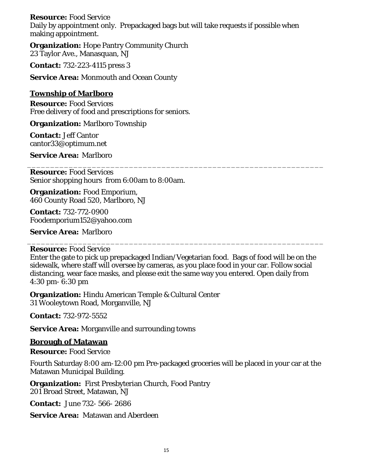### **Resource:** Food Service

Daily by appointment only. Prepackaged bags but will take requests if possible when making appointment.

**Organization:** Hope Pantry Community Church 23 Taylor Ave., Manasquan, NJ

**Contact:** 732-223-4115 press 3

**Service Area:** Monmouth and Ocean County

### **Township of Marlboro**

**Resource:** Food Services Free delivery of food and prescriptions for seniors.

**Organization:** Marlboro Township

**Contact:** Jeff Cantor cantor33@optimum.net

**Service Area:** Marlboro

**Resource:** Food Services Senior shopping hours from 6:00am to 8:00am.

**Organization:** Food Emporium, 460 County Road 520, Marlboro, NJ

**Contact:** 732-772-0900 Foodemporium152@yahoo.com

**Service Area:** Marlboro

#### \_\_\_\_\_\_\_\_\_\_\_\_\_\_\_\_\_\_\_\_\_\_\_\_\_\_\_\_\_\_\_\_\_\_\_\_\_\_\_\_\_\_\_\_\_\_\_\_\_\_\_\_\_\_\_\_\_\_\_\_\_\_\_\_ **Resource:** Food Service

Enter the gate to pick up prepackaged Indian/Vegetarian food. Bags of food will be on the sidewalk, where staff will oversee by cameras, as you place food in your car. Follow social distancing, wear face masks, and please exit the same way you entered. Open daily from 4:30 pm- 6:30 pm

\_\_\_\_\_\_\_\_\_\_\_\_\_\_\_\_\_\_\_\_\_\_\_\_\_\_\_\_\_\_\_\_\_\_\_\_\_\_\_\_\_\_\_\_\_\_\_\_\_\_\_\_\_\_\_\_\_\_\_\_\_\_\_\_

**Organization:** Hindu American Temple & Cultural Center 31 Wooleytown Road, Morganville, NJ

**Contact:** 732-972-5552

**Service Area:** Morganville and surrounding towns

#### **Borough of Matawan**

**Resource:** Food Service

Fourth Saturday 8:00 am-12:00 pm Pre-packaged groceries will be placed in your car at the Matawan Municipal Building.

**Organization:** First Presbyterian Church, Food Pantry 201 Broad Street, Matawan, NJ

**Contact:** June 732- 566- 2686

**Service Area:** Matawan and Aberdeen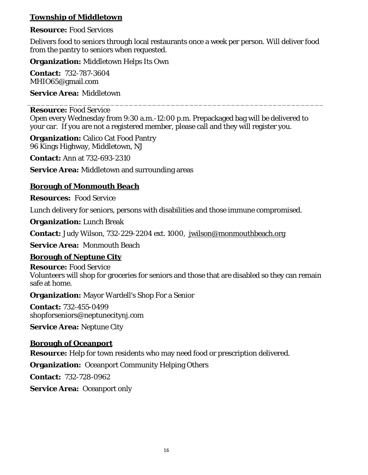## **Township of Middletown**

# **Resource:** Food Services

Delivers food to seniors through local restaurants once a week per person. Will deliver food from the pantry to seniors when requested.

**Organization:** Middletown Helps Its Own

**Contact:** 732-787-3604 MHIO65@gmail.com

**Service Area:** Middletown

### \_\_\_\_\_\_\_\_\_\_\_\_\_\_\_\_\_\_\_\_\_\_\_\_\_\_\_\_\_\_\_\_\_\_\_\_\_\_\_\_\_\_\_\_\_\_\_\_\_\_\_\_\_\_\_\_\_\_\_\_\_\_\_\_ **Resource:** Food Service

Open every Wednesday from 9:30 a.m.-12:00 p.m. Prepackaged bag will be delivered to your car. If you are not a registered member, please call and they will register you.

**Organization:** Calico Cat Food Pantry 96 Kings Highway, Middletown, NJ

**Contact:** Ann at 732-693-2310

**Service Area:** Middletown and surrounding areas

# **Borough of Monmouth Beach**

**Resources:** Food Service

Lunch delivery for seniors, persons with disabilities and those immune compromised.

**Organization:** Lunch Break

**Contact:** Judy Wilson, 732-229-2204 ext. 1000, [jwilson@monmouthbeach.org](mailto:jwilson@monmouthbeach.org)

**Service Area:** Monmouth Beach

# **Borough of Neptune City**

**Resource:** Food Service Volunteers will shop for groceries for seniors and those that are disabled so they can remain safe at home.

**Organization:** Mayor Wardell's Shop For a Senior

**Contact:** 732-455-0499 shopforseniors@neptunecitynj.com

**Service Area:** Neptune City

# **Borough of Oceanport**

**Resource:** Help for town residents who may need food or prescription delivered.

**Organization:** Oceanport Community Helping Others

**Contact:** 732-728-0962

**Service Area:** Oceanport only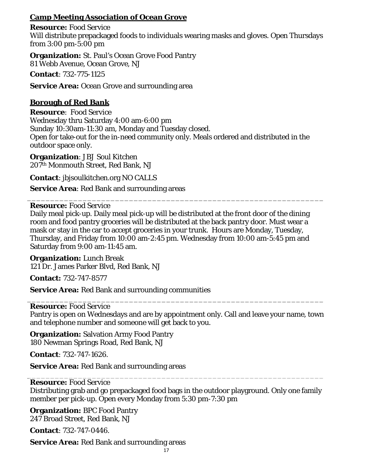# **Camp Meeting Association of Ocean Grove**

**Resource:** Food Service Will distribute prepackaged foods to individuals wearing masks and gloves. Open Thursdays from 3:00 pm-5:00 pm

**Organization:** St. Paul's Ocean Grove Food Pantry 81 Webb Avenue, Ocean Grove, NJ

**Contact**: 732-775-1125

**Service Area:** Ocean Grove and surrounding area

## **Borough of Red Bank**

**Resource**: Food Service Wednesday thru Saturday 4:00 am-6:00 pm Sunday 10:30am-11:30 am, Monday and Tuesday closed. Open for take-out for the in-need community only. Meals ordered and distributed in the outdoor space only.

**Organization**: JBJ Soul Kitchen 207th Monmouth Street, Red Bank, NJ

**Contact**: jbjsoulkitchen.org NO CALLS

**Service Area**: Red Bank and surrounding areas

**Resource:** Food Service

Daily meal pick-up. Daily meal pick-up will be distributed at the front door of the dining room and food pantry groceries will be distributed at the back pantry door. Must wear a mask or stay in the car to accept groceries in your trunk. Hours are Monday, Tuesday, Thursday, and Friday from 10:00 am-2:45 pm. Wednesday from 10:00 am-5:45 pm and Saturday from 9:00 am-11:45 am.

\_\_\_\_\_\_\_\_\_\_\_\_\_\_\_\_\_\_\_\_\_\_\_\_\_\_\_\_\_\_\_\_\_\_\_\_\_\_\_\_\_\_\_\_\_\_\_\_\_\_\_\_\_\_\_\_\_\_\_\_\_\_\_\_

**Organization:** Lunch Break 121 Dr. James Parker Blvd, Red Bank, NJ

**Contact:** 732-747-8577

**Service Area:** Red Bank and surrounding communities

#### \_\_\_\_\_\_\_\_\_\_\_\_\_\_\_\_\_\_\_\_\_\_\_\_\_\_\_\_\_\_\_\_\_\_\_\_\_\_\_\_\_\_\_\_\_\_\_\_\_\_\_\_\_\_\_\_\_\_\_\_\_\_\_\_ **Resource:** Food Service

Pantry is open on Wednesdays and are by appointment only. Call and leave your name, town and telephone number and someone will get back to you.

**Organization:** Salvation Army Food Pantry 180 Newman Springs Road, Red Bank, NJ

**Contact**: 732-747-1626.

**Service Area:** Red Bank and surrounding areas

#### \_\_\_\_\_\_\_\_\_\_\_\_\_\_\_\_\_\_\_\_\_\_\_\_\_\_\_\_\_\_\_\_\_\_\_\_\_\_\_\_\_\_\_\_\_\_\_\_\_\_\_\_\_\_\_\_\_\_\_\_\_\_\_\_ **Resource:** Food Service

Distributing grab and go prepackaged food bags in the outdoor playground. Only one family member per pick-up. Open every Monday from 5:30 pm-7:30 pm

**Organization:** BPC Food Pantry 247 Broad Street, Red Bank, NJ

**Contact**: 732-747-0446.

**Service Area:** Red Bank and surrounding areas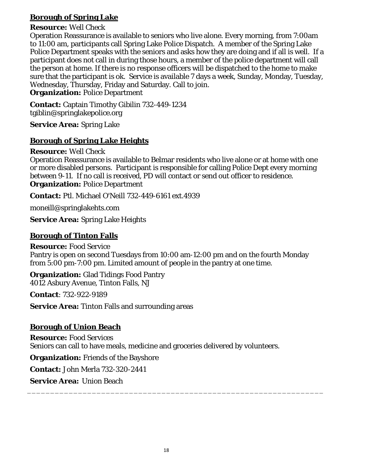# **Borough of Spring Lake**

## **Resource:** Well Check

Operation Reassurance is available to seniors who live alone. Every morning, from 7:00am to 11:00 am, participants call Spring Lake Police Dispatch. A member of the Spring Lake Police Department speaks with the seniors and asks how they are doing and if all is well. If a participant does not call in during those hours, a member of the police department will call the person at home. If there is no response officers will be dispatched to the home to make sure that the participant is ok. Service is available 7 days a week, Sunday, Monday, Tuesday, Wednesday, Thursday, Friday and Saturday. Call to join.

**Organization:** Police Department

**Contact:** Captain Timothy Gibilin 732-449-1234 tgiblin@springlakepolice.org

**Service Area:** Spring Lake

# **Borough of Spring Lake Heights**

**Resource:** Well Check

Operation Reassurance is available to Belmar residents who live alone or at home with one or more disabled persons. Participant is responsible for calling Police Dept every morning between 9-11. If no call is received, PD will contact or send out officer to residence. **Organization:** Police Department

**Contact:** Ptl. Michael O'Neill 732-449-6161 ext.4939

moneill@springlakehts.com

**Service Area:** Spring Lake Heights

## **Borough of Tinton Falls**

**Resource:** Food Service Pantry is open on second Tuesdays from 10:00 am-12:00 pm and on the fourth Monday from 5:00 pm-7:00 pm. Limited amount of people in the pantry at one time.

**Organization:** Glad Tidings Food Pantry 4012 Asbury Avenue, Tinton Falls, NJ

**Contact**: 732-922-9189

**Service Area:** Tinton Falls and surrounding areas

# **Borough of Union Beach**

**Resource:** Food Services Seniors can call to have meals, medicine and groceries delivered by volunteers.

**Organization:** Friends of the Bayshore

**Contact:** John Merla 732-320-2441

**Service Area:** Union Beach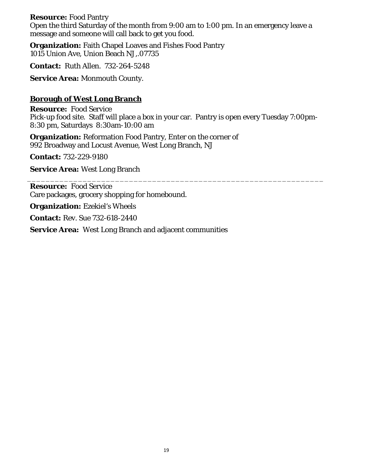### **Resource:** Food Pantry

Open the third Saturday of the month from 9:00 am to 1:00 pm. In an emergency leave a message and someone will call back to get you food.

**Organization:** Faith Chapel Loaves and Fishes Food Pantry 1015 Union Ave, Union Beach NJ,.07735

**Contact:** Ruth Allen. 732-264-5248

**Service Area:** Monmouth County.

## **Borough of West Long Branch**

**Resource:** Food Service Pick-up food site. Staff will place a box in your car. Pantry is open every Tuesday 7:00pm-8:30 pm, Saturdays 8:30am-10:00 am

\_\_\_\_\_\_\_\_\_\_\_\_\_\_\_\_\_\_\_\_\_\_\_\_\_\_\_\_\_\_\_\_\_\_\_\_\_\_\_\_\_\_\_\_\_\_\_\_\_\_\_\_\_\_\_\_\_\_\_\_\_\_\_\_

**Organization:** Reformation Food Pantry, Enter on the corner of 992 Broadway and Locust Avenue, West Long Branch, NJ

**Contact:** 732-229-9180

**Service Area:** West Long Branch

**Resource:** Food Service Care packages, grocery shopping for homebound.

**Organization:** Ezekiel's Wheels

**Contact:** Rev. Sue 732-618-2440

**Service Area:** West Long Branch and adjacent communities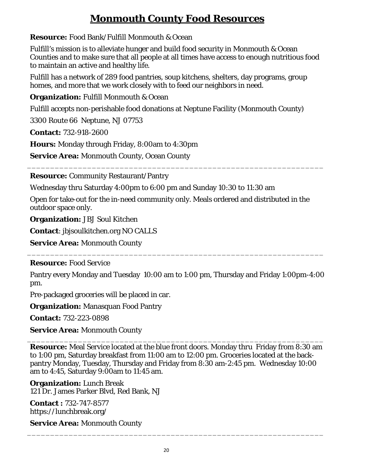# **Monmouth County Food Resources**

<span id="page-19-0"></span>**Resource:** Food Bank/Fulfill Monmouth & Ocean

Fulfill's mission is to alleviate hunger and build food security in Monmouth & Ocean Counties and to make sure that all people at all times have access to enough nutritious food to maintain an active and healthy life.

Fulfill has a network of 289 food pantries, soup kitchens, shelters, day programs, group homes, and more that we work closely with to feed our neighbors in need.

**Organization:** Fulfill Monmouth & Ocean

Fulfill accepts non-perishable food donations at Neptune Facility (Monmouth County)

3300 Route 66 Neptune, NJ 07753

**Contact:** 732-918-2600

**Hours:** Monday through Friday, 8:00am to 4:30pm

**Service Area:** Monmouth County, Ocean County

**Resource:** Community Restaurant/Pantry

Wednesday thru Saturday 4:00pm to 6:00 pm and Sunday 10:30 to 11:30 am

Open for take-out for the in-need community only. Meals ordered and distributed in the outdoor space only.

\_\_\_\_\_\_\_\_\_\_\_\_\_\_\_\_\_\_\_\_\_\_\_\_\_\_\_\_\_\_\_\_\_\_\_\_\_\_\_\_\_\_\_\_\_\_\_\_\_\_\_\_\_\_\_\_\_\_\_\_\_\_\_\_

**Organization:** JBJ Soul Kitchen

**Contact**: jbjsoulkitchen.org NO CALLS

**Service Area:** Monmouth County

### **Resource:** Food Service

Pantry every Monday and Tuesday 10:00 am to 1:00 pm, Thursday and Friday 1:00pm-4:00 pm.

\_\_\_\_\_\_\_\_\_\_\_\_\_\_\_\_\_\_\_\_\_\_\_\_\_\_\_\_\_\_\_\_\_\_\_\_\_\_\_\_\_\_\_\_\_\_\_\_\_\_\_\_\_\_\_\_\_\_\_\_\_\_\_\_

Pre-packaged groceries will be placed in car.

**Organization:** Manasquan Food Pantry

**Contact:** 732-223-0898

**Service Area:** Monmouth County

\_\_\_\_\_\_\_\_\_\_\_\_\_\_\_\_\_\_\_\_\_\_\_\_\_\_\_\_\_\_\_\_\_\_\_\_\_\_\_\_\_\_\_\_\_\_\_\_\_\_\_\_\_\_\_\_\_\_\_\_\_\_\_\_ **Resource:** Meal Service located at the blue front doors. Monday thru Friday from 8:30 am to 1:00 pm, Saturday breakfast from 11:00 am to 12:00 pm. Groceries located at the backpantry Monday, Tuesday, Thursday and Friday from 8:30 am-2:45 pm. Wednesday 10:00 am to 4:45, Saturday 9:00am to 11:45 am.

**Organization:** Lunch Break 121 Dr. James Parker Blvd, Red Bank, NJ

**Contact :** 732-747-8577 https://lunchbreak.org/

**Service Area:** Monmouth County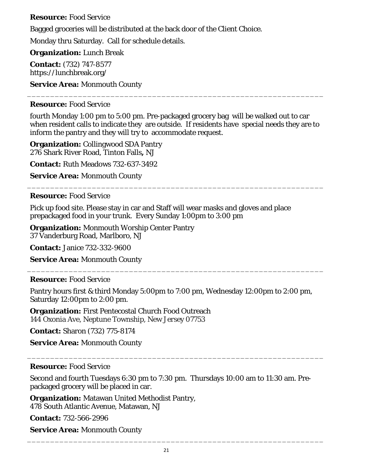### **Resource:** Food Service

Bagged groceries will be distributed at the back door of the Client Choice.

Monday thru Saturday. Call for schedule details.

**Organization:** Lunch Break

**Contact:** (732) 747-8577 https://lunchbreak.org/

**Service Area:** Monmouth County

### **Resource:** Food Service

fourth Monday 1:00 pm to 5:00 pm. Pre-packaged grocery bag will be walked out to car when resident calls to indicate they are outside. If residents have special needs they are to inform the pantry and they will try to accommodate request.

\_\_\_\_\_\_\_\_\_\_\_\_\_\_\_\_\_\_\_\_\_\_\_\_\_\_\_\_\_\_\_\_\_\_\_\_\_\_\_\_\_\_\_\_\_\_\_\_\_\_\_\_\_\_\_\_\_\_\_\_\_\_\_\_

\_\_\_\_\_\_\_\_\_\_\_\_\_\_\_\_\_\_\_\_\_\_\_\_\_\_\_\_\_\_\_\_\_\_\_\_\_\_\_\_\_\_\_\_\_\_\_\_\_\_\_\_\_\_\_\_\_\_\_\_\_\_\_\_

**Organization:** Collingwood SDA Pantry 276 Shark River Road, Tinton Falls**,** NJ

**Contact:** Ruth Meadows 732-637-3492

**Service Area:** Monmouth County

## **Resource:** Food Service

Pick up food site. Please stay in car and Staff will wear masks and gloves and place prepackaged food in your trunk. Every Sunday 1:00pm to 3:00 pm

**Organization:** Monmouth Worship Center Pantry 37 Vanderburg Road, Marlboro, NJ

**Contact:** Janice 732-332-9600

**Service Area:** Monmouth County

# **Resource:** Food Service

Pantry hours first & third Monday 5:00pm to 7:00 pm, Wednesday 12:00pm to 2:00 pm, Saturday 12:00pm to 2:00 pm.

\_\_\_\_\_\_\_\_\_\_\_\_\_\_\_\_\_\_\_\_\_\_\_\_\_\_\_\_\_\_\_\_\_\_\_\_\_\_\_\_\_\_\_\_\_\_\_\_\_\_\_\_\_\_\_\_\_\_\_\_\_\_\_\_

**Organization:** First Pentecostal Church Food Outreach 144 Oxonia Ave, Neptune Township, New Jersey 07753

**Contact:** Sharon (732) 775-8174

**Service Area:** Monmouth County

### **Resource:** Food Service

Second and fourth Tuesdays 6:30 pm to 7:30 pm. Thursdays 10:00 am to 11:30 am. Prepackaged grocery will be placed in car.

\_\_\_\_\_\_\_\_\_\_\_\_\_\_\_\_\_\_\_\_\_\_\_\_\_\_\_\_\_\_\_\_\_\_\_\_\_\_\_\_\_\_\_\_\_\_\_\_\_\_\_\_\_\_\_\_\_\_\_\_\_\_\_\_

**Organization:** Matawan United Methodist Pantry, 478 South Atlantic Avenue, Matawan, NJ

**Contact:** 732-566-2996

**Service Area:** Monmouth County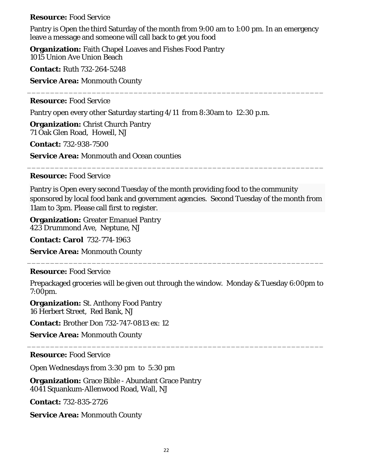### **Resource:** Food Service

Pantry is Open the third Saturday of the month from 9:00 am to 1:00 pm. In an emergency leave a message and someone will call back to get you food

\_\_\_\_\_\_\_\_\_\_\_\_\_\_\_\_\_\_\_\_\_\_\_\_\_\_\_\_\_\_\_\_\_\_\_\_\_\_\_\_\_\_\_\_\_\_\_\_\_\_\_\_\_\_\_\_\_\_\_\_\_\_\_\_

**Organization:** Faith Chapel Loaves and Fishes Food Pantry 1015 Union Ave Union Beach

**Contact:** Ruth 732-264-5248

**Service Area:** Monmouth County

### **Resource:** Food Service

Pantry open every other Saturday starting 4/11 from 8:30am to 12:30 p.m.

**Organization:** Christ Church Pantry 71 Oak Glen Road, Howell, NJ

**Contact:** 732-938-7500

**Service Area:** Monmouth and Ocean counties

### **Resource:** Food Service

Pantry is Open every second Tuesday of the month providing food to the community sponsored by local food bank and government agencies. Second Tuesday of the month from 11am to 3pm. Please call first to register.

\_\_\_\_\_\_\_\_\_\_\_\_\_\_\_\_\_\_\_\_\_\_\_\_\_\_\_\_\_\_\_\_\_\_\_\_\_\_\_\_\_\_\_\_\_\_\_\_\_\_\_\_\_\_\_\_\_\_\_\_\_\_\_\_

**Organization:** Greater Emanuel Pantry 423 Drummond Ave, Neptune, NJ

**Contact: Carol** 732-774-1963

**Service Area:** Monmouth County

### **Resource:** Food Service

Prepackaged groceries will be given out through the window. Monday & Tuesday 6:00pm to 7:00pm.

\_\_\_\_\_\_\_\_\_\_\_\_\_\_\_\_\_\_\_\_\_\_\_\_\_\_\_\_\_\_\_\_\_\_\_\_\_\_\_\_\_\_\_\_\_\_\_\_\_\_\_\_\_\_\_\_\_\_\_\_\_\_\_\_

\_\_\_\_\_\_\_\_\_\_\_\_\_\_\_\_\_\_\_\_\_\_\_\_\_\_\_\_\_\_\_\_\_\_\_\_\_\_\_\_\_\_\_\_\_\_\_\_\_\_\_\_\_\_\_\_\_\_\_\_\_\_\_\_

**Organization:** St. Anthony Food Pantry 16 Herbert Street, Red Bank, NJ

**Contact:** Brother Don 732-747-0813 ex: 12

**Service Area:** Monmouth County

**Resource:** Food Service

Open Wednesdays from 3:30 pm to 5:30 pm

**Organization:** Grace Bible - Abundant Grace Pantry 4041 Squankum-Allenwood Road, Wall, NJ

**Contact:** 732-835-2726

**Service Area:** Monmouth County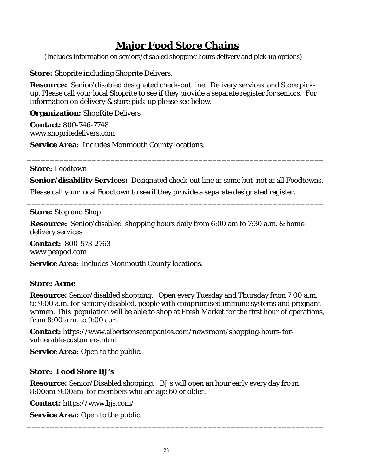# **Major Food Store Chains**

<span id="page-22-0"></span>(Includes information on seniors/disabled shopping hours delivery and pick-up options)

<span id="page-22-1"></span>**Store:** Shoprite including Shoprite Delivers.

**Resource:** Senior/disabled designated check-out line. Delivery services and Store pickup. Please call your local Shoprite to see if they provide a separate register for seniors. For information on delivery & store pick-up please see below.

**Organization:** ShopRite Delivers

**Contact:** 800-746-7748 www.shopritedelivers.com

**Service Area:** Includes Monmouth County locations.

**Store:** Foodtown

**Senior/disability Services:** Designated check-out line at some but not at all Foodtowns.

\_\_\_\_\_\_\_\_\_\_\_\_\_\_\_\_\_\_\_\_\_\_\_\_\_\_\_\_\_\_\_\_\_\_\_\_\_\_\_\_\_\_\_\_\_\_\_\_\_\_\_\_\_\_\_\_\_\_\_\_\_\_\_\_

\_\_\_\_\_\_\_\_\_\_\_\_\_\_\_\_\_\_\_\_\_\_\_\_\_\_\_\_\_\_\_\_\_\_\_\_\_\_\_\_\_\_\_\_\_\_\_\_\_\_\_\_\_\_\_\_\_\_\_\_\_\_\_\_

Please call your local Foodtown to see if they provide a separate designated register.

**Store:** Stop and Shop

**Resource:** Senior/disabled shopping hours daily from 6:00 am to 7:30 a.m. & home delivery services.

**Contact:** 800-573-2763 www.peapod.com

**Service Area:** Includes Monmouth County locations.

### **Store: Acme**

**Resource:** Senior/disabled shopping. Open every Tuesday and Thursday from 7:00 a.m. to 9:00 a.m. for seniors/disabled, people with compromised immune systems and pregnant women. This population will be able to shop at Fresh Market for the first hour of operations, from 8:00 a.m. to 9:00 a.m.

\_\_\_\_\_\_\_\_\_\_\_\_\_\_\_\_\_\_\_\_\_\_\_\_\_\_\_\_\_\_\_\_\_\_\_\_\_\_\_\_\_\_\_\_\_\_\_\_\_\_\_\_\_\_\_\_\_\_\_\_\_\_\_\_

\_\_\_\_\_\_\_\_\_\_\_\_\_\_\_\_\_\_\_\_\_\_\_\_\_\_\_\_\_\_\_\_\_\_\_\_\_\_\_\_\_\_\_\_\_\_\_\_\_\_\_\_\_\_\_\_\_\_\_\_\_\_\_\_

\_\_\_\_\_\_\_\_\_\_\_\_\_\_\_\_\_\_\_\_\_\_\_\_\_\_\_\_\_\_\_\_\_\_\_\_\_\_\_\_\_\_\_\_\_\_\_\_\_\_\_\_\_\_\_\_\_\_\_\_\_\_\_\_

**Contact:** https://www.albertsonscompanies.com/newsroom/shopping-hours-forvulnerable-customers.html

**Service Area:** Open to the public.

### **Store: Food Store BJ's**

**Resource:** Senior/Disabled shopping. BJ's will open an hour early every day fro m 8:00am-9:00am for members who are age 60 or older.

**Contact:** https://www.bjs.com/

**Service Area:** Open to the public.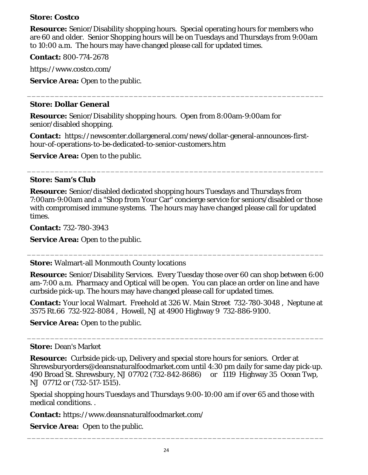### **Store: Costco**

**Resource:** Senior/Disability shopping hours. Special operating hours for members who are 60 and older. Senior Shopping hours will be on Tuesdays and Thursdays from 9:00am to 10:00 a.m. The hours may have changed please call for updated times.

\_\_\_\_\_\_\_\_\_\_\_\_\_\_\_\_\_\_\_\_\_\_\_\_\_\_\_\_\_\_\_\_\_\_\_\_\_\_\_\_\_\_\_\_\_\_\_\_\_\_\_\_\_\_\_\_\_\_\_\_\_\_\_\_

**Contact:** 800-774-2678

https://www.costco.com/

**Service Area:** Open to the public.

### **Store: Dollar General**

**Resource:** Senior/Disability shopping hours. Open from 8:00am-9:00am for senior/disabled shopping.

**Contact:** https://newscenter.dollargeneral.com/news/dollar-general-announces-firsthour-of-operations-to-be-dedicated-to-senior-customers.htm

**Service Area:** Open to the public.

### **Store: Sam's Club**

**Resource:** Senior/disabled dedicated shopping hours Tuesdays and Thursdays from 7:00am-9:00am and a "Shop from Your Car" concierge service for seniors/disabled or those with compromised immune systems. The hours may have changed please call for updated times.

\_\_\_\_\_\_\_\_\_\_\_\_\_\_\_\_\_\_\_\_\_\_\_\_\_\_\_\_\_\_\_\_\_\_\_\_\_\_\_\_\_\_\_\_\_\_\_\_\_\_\_\_\_\_\_\_\_\_\_\_\_\_\_\_

**Contact:** 732-780-3943

**Service Area:** Open to the public.

**Store:** Walmart-all Monmouth County locations

**Resource:** Senior/Disability Services. Every Tuesday those over 60 can shop between 6:00 am-7:00 a.m. Pharmacy and Optical will be open. You can place an order on line and have curbside pick-up. The hours may have changed please call for updated times.

\_\_\_\_\_\_\_\_\_\_\_\_\_\_\_\_\_\_\_\_\_\_\_\_\_\_\_\_\_\_\_\_\_\_\_\_\_\_\_\_\_\_\_\_\_\_\_\_\_\_\_\_\_\_\_\_\_\_\_\_\_\_\_\_

**Contact:** Your local Walmart. Freehold at 326 W. Main Street 732-780-3048 , Neptune at 3575 Rt.66 732-922-8084 , Howell, NJ at 4900 Highway 9 732-886-9100.

\_\_\_\_\_\_\_\_\_\_\_\_\_\_\_\_\_\_\_\_\_\_\_\_\_\_\_\_\_\_\_\_\_\_\_\_\_\_\_\_\_\_\_\_\_\_\_\_\_\_\_\_\_\_\_\_\_\_\_\_\_\_\_\_

**Service Area:** Open to the public.

### **Store:** Dean's Market

**Resource:** Curbside pick-up, Delivery and special store hours for seniors. Order at Shrewsburyorders@deansnaturalfoodmarket.com until 4:30 pm daily for same day pick-up. 490 Broad St. Shrewsbury, NJ 07702 (732-842-8686) or 1119 Highway 35 Ocean Twp, NJ 07712 or (732-517-1515).

Special shopping hours Tuesdays and Thursdays 9:00-10:00 am if over 65 and those with medical conditions. .

\_\_\_\_\_\_\_\_\_\_\_\_\_\_\_\_\_\_\_\_\_\_\_\_\_\_\_\_\_\_\_\_\_\_\_\_\_\_\_\_\_\_\_\_\_\_\_\_\_\_\_\_\_\_\_\_\_\_\_\_\_\_\_\_

**Contact:** https://www.deansnaturalfoodmarket.com/

**Service Area:** Open to the public.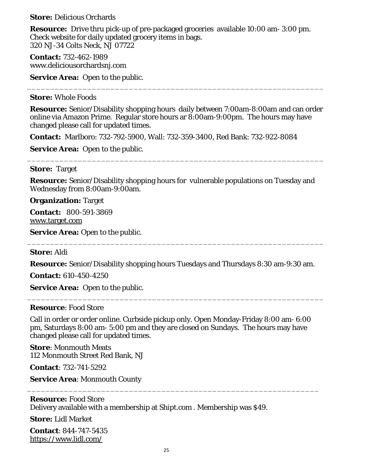**Store:** Delicious Orchards

**Resource:** Drive thru pick-up of pre-packaged groceries available 10:00 am- 3:00 pm. Check website for daily updated grocery items in bags. 320 NJ-34 Colts Neck, NJ 07722

**Contact:** 732-462-1989 www.deliciousorchardsnj.com

**Service Area:** Open to the public.

### **Store:** Whole Foods

**Resource:** Senior/Disability shopping hours daily between 7:00am-8:00am and can order online via Amazon Prime. Regular store hours ar 8:00am-9:00pm. The hours may have changed please call for updated times.

\_\_\_\_\_\_\_\_\_\_\_\_\_\_\_\_\_\_\_\_\_\_\_\_\_\_\_\_\_\_\_\_\_\_\_\_\_\_\_\_\_\_\_\_\_\_\_\_\_\_\_\_\_\_\_\_\_\_\_\_\_\_\_\_

**Contact:** Marlboro: 732-792-5900, Wall: 732-359-3400, Red Bank: 732-922-8084

**Service Area:** Open to the public.

### **Store:** Target

**Resource:** Senior/Disability shopping hours for vulnerable populations on Tuesday and Wednesday from 8:00am-9:00am.

\_\_\_\_\_\_\_\_\_\_\_\_\_\_\_\_\_\_\_\_\_\_\_\_\_\_\_\_\_\_\_\_\_\_\_\_\_\_\_\_\_\_\_\_\_\_\_\_\_\_\_\_\_\_\_\_\_\_\_\_\_\_\_\_

**Organization:** Target

**Contact:** 800-591-3869 [www.target.com](http://www.target.com/)

**Service Area:** Open to the public.

### **Store:** Aldi

**Resource:** Senior/Disability shopping hours Tuesdays and Thursdays 8:30 am-9:30 am.

\_\_\_\_\_\_\_\_\_\_\_\_\_\_\_\_\_\_\_\_\_\_\_\_\_\_\_\_\_\_\_\_\_\_\_\_\_\_\_\_\_\_\_\_\_\_\_\_\_\_\_\_\_\_\_\_\_\_\_\_\_\_\_\_

\_\_\_\_\_\_\_\_\_\_\_\_\_\_\_\_\_\_\_\_\_\_\_\_\_\_\_\_\_\_\_\_\_\_\_\_\_\_\_\_\_\_\_\_\_\_\_\_\_\_\_\_\_\_\_\_\_\_\_\_\_\_\_\_

**Contact:** 610-450-4250

**Service Area:** Open to the public.

#### **Resource**: Food Store

Call in order or order online. Curbside pickup only. Open Monday-Friday 8:00 am- 6:00 pm, Saturdays 8:00 am- 5:00 pm and they are closed on Sundays. The hours may have changed please call for updated times.

\_\_\_\_\_\_\_\_\_\_\_\_\_\_\_\_\_\_\_\_\_\_\_\_\_\_\_\_\_\_\_\_\_\_\_\_\_\_\_\_\_\_\_\_\_\_\_\_\_\_\_\_\_\_\_\_\_\_\_\_\_\_\_

**Store**: Monmouth Meats 112 Monmouth Street Red Bank, NJ

**Contact**: 732-741-5292

**Service Area**: Monmouth County

### **Resource:** Food Store Delivery available with a membership at Shipt.com . Membership was \$49.

**Store:** Lidl Market

**Contact**: 844-747-5435 <https://www.lidl.com/>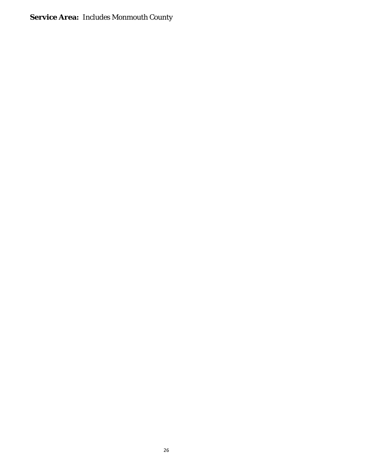# **Service Area:** Includes Monmouth County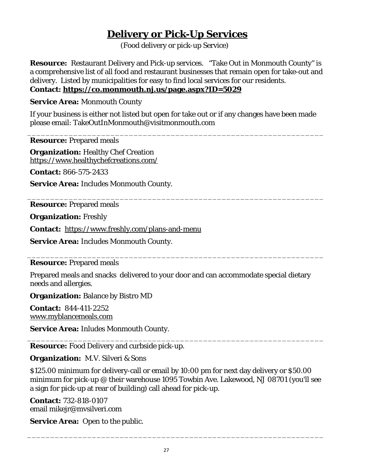# **Delivery or Pick-Up Services**

(Food delivery or pick-up Service)

<span id="page-26-1"></span><span id="page-26-0"></span>**Resource:** Restaurant Delivery and Pick-up services. "Take Out in Monmouth County" is a comprehensive list of all food and restaurant businesses that remain open for take-out and delivery. Listed by municipalities for easy to find local services for our residents. **Contact:<https://co.monmouth.nj.us/page.aspx?ID=5029>**

**Service Area:** Monmouth County

If your business is either not listed but open for take out or if any changes have been made please email: TakeOutInMonmouth@visitmonmouth.com

\_\_\_\_\_\_\_\_\_\_\_\_\_\_\_\_\_\_\_\_\_\_\_\_\_\_\_\_\_\_\_\_\_\_\_\_\_\_\_\_\_\_\_\_\_\_\_\_\_\_\_\_\_\_\_\_\_\_\_\_\_\_\_\_

\_\_\_\_\_\_\_\_\_\_\_\_\_\_\_\_\_\_\_\_\_\_\_\_\_\_\_\_\_\_\_\_\_\_\_\_\_\_\_\_\_\_\_\_\_\_\_\_\_\_\_\_\_\_\_\_\_\_\_\_\_\_\_\_

**Resource:** Prepared meals

**Organization:** Healthy Chef Creation https://www.healthychefcreations.com/

**Contact:** 866-575-2433

**Service Area:** Includes Monmouth County.

**Resource:** Prepared meals

**Organization:** Freshly

**Contact:** <https://www.freshly.com/plans-and-menu>

**Service Area:** Includes Monmouth County.

### \_\_\_\_\_\_\_\_\_\_\_\_\_\_\_\_\_\_\_\_\_\_\_\_\_\_\_\_\_\_\_\_\_\_\_\_\_\_\_\_\_\_\_\_\_\_\_\_\_\_\_\_\_\_\_\_\_\_\_\_\_\_\_\_ **Resource:** Prepared meals

Prepared meals and snacks delivered to your door and can accommodate special dietary needs and allergies.

**Organization:** Balance by Bistro MD

**Contact:** 844-411-2252 [www.myblancemeals.com](http://www.myblancemeals.com/)

**Service Area:** Inludes Monmouth County.

\_\_\_\_\_\_\_\_\_\_\_\_\_\_\_\_\_\_\_\_\_\_\_\_\_\_\_\_\_\_\_\_\_\_\_\_\_\_\_\_\_\_\_\_\_\_\_\_\_\_\_\_\_\_\_\_\_\_\_\_\_\_\_\_ **Resource:** Food Delivery and curbside pick-up.

**Organization:** M.V. Silveri & Sons

\$125.00 minimum for delivery-call or email by 10:00 pm for next day delivery or \$50.00 minimum for pick-up @ their warehouse 1095 Towbin Ave. Lakewood, NJ 08701 (you'll see a sign for pick-up at rear of building) call ahead for pick-up.

\_\_\_\_\_\_\_\_\_\_\_\_\_\_\_\_\_\_\_\_\_\_\_\_\_\_\_\_\_\_\_\_\_\_\_\_\_\_\_\_\_\_\_\_\_\_\_\_\_\_\_\_\_\_\_\_\_\_\_\_\_\_\_\_

**Contact:** 732-818-0107 email mikejr@mvsilveri.com

**Service Area:** Open to the public.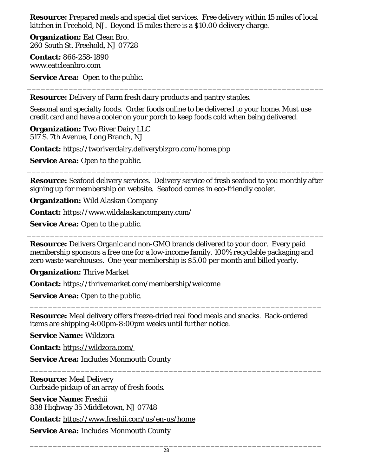**Resource:** Prepared meals and special diet services. Free delivery within 15 miles of local kitchen in Freehold, NJ. Beyond 15 miles there is a \$10.00 delivery charge.

**Organization:** Eat Clean Bro. 260 South St. Freehold, NJ 07728

**Contact:** 866-258-1890 www.eatcleanbro.com

**Service Area:** Open to the public.

**Resource:** Delivery of Farm fresh dairy products and pantry staples.

Seasonal and specialty foods. Order foods online to be delivered to your home. Must use credit card and have a cooler on your porch to keep foods cold when being delivered.

\_\_\_\_\_\_\_\_\_\_\_\_\_\_\_\_\_\_\_\_\_\_\_\_\_\_\_\_\_\_\_\_\_\_\_\_\_\_\_\_\_\_\_\_\_\_\_\_\_\_\_\_\_\_\_\_\_\_\_\_\_\_\_\_

**Organization:** Two River Dairy LLC 517 S. 7th Avenue, Long Branch, NJ

**Contact:** https://tworiverdairy.deliverybizpro.com/home.php

**Service Area:** Open to the public.

**Resource:** Seafood delivery services. Delivery service of fresh seafood to you monthly after signing up for membership on website. Seafood comes in eco-friendly cooler.

\_\_\_\_\_\_\_\_\_\_\_\_\_\_\_\_\_\_\_\_\_\_\_\_\_\_\_\_\_\_\_\_\_\_\_\_\_\_\_\_\_\_\_\_\_\_\_\_\_\_\_\_\_\_\_\_\_\_\_\_\_\_\_\_

**Organization:** Wild Alaskan Company

**Contact:** https://www.wildalaskancompany.com/

**Service Area:** Open to the public.

**Resource:** Delivers Organic and non-GMO brands delivered to your door. Every paid membership sponsors a free one for a low-income family. 100% recyclable packaging and zero waste warehouses. One-year membership is \$5.00 per month and billed yearly.

\_\_\_\_\_\_\_\_\_\_\_\_\_\_\_\_\_\_\_\_\_\_\_\_\_\_\_\_\_\_\_\_\_\_\_\_\_\_\_\_\_\_\_\_\_\_\_\_\_\_\_\_\_\_\_\_\_\_\_\_\_\_\_\_

**Organization:** Thrive Market

**Contact:** https://thrivemarket.com/membership/welcome

**Service Area:** Open to the public.

**Resource:** Meal delivery offers freeze-dried real food meals and snacks. Back-ordered items are shipping 4:00pm-8:00pm weeks until further notice.

\_\_\_\_\_\_\_\_\_\_\_\_\_\_\_\_\_\_\_\_\_\_\_\_\_\_\_\_\_\_\_\_\_\_\_\_\_\_\_\_\_\_\_\_\_\_\_\_\_\_\_\_\_\_\_\_\_\_\_\_\_\_\_

\_\_\_\_\_\_\_\_\_\_\_\_\_\_\_\_\_\_\_\_\_\_\_\_\_\_\_\_\_\_\_\_\_\_\_\_\_\_\_\_\_\_\_\_\_\_\_\_\_\_\_\_\_\_\_\_\_\_\_\_\_\_\_

**Service Name:** Wildzora

**Contact:** <https://wildzora.com/>

**Service Area:** Includes Monmouth County

**Resource:** Meal Delivery Curbside pickup of an array of fresh foods.

**Service Name:** Freshii 838 Highway 35 Middletown, NJ 07748

**Contact:** <https://www.freshii.com/us/en-us/home>

**Service Area:** Includes Monmouth County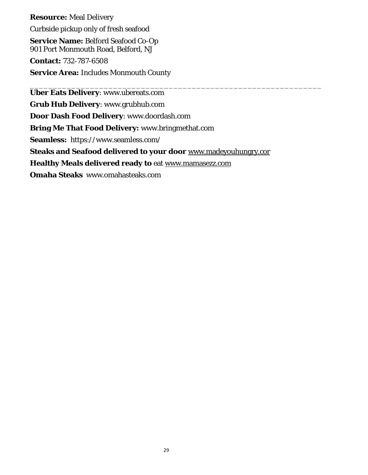**Resource:** Meal Delivery Curbside pickup only of fresh seafood **Service Name:** Belford Seafood Co-Op 901 Port Monmouth Road, Belford, NJ **Contact:** 732-787-6508 **Service Area:** Includes Monmouth County

\_\_\_\_\_\_\_\_\_\_\_\_\_\_\_\_\_\_\_\_\_\_\_\_\_\_\_\_\_\_\_\_\_\_\_\_\_\_\_\_\_\_\_\_\_\_\_\_\_\_\_\_\_\_\_\_\_\_\_\_\_\_\_ **Uber Eats Delivery**: www.ubereats.com **Grub Hub Delivery**: www.grubhub.com **Door Dash Food Delivery**: www.doordash.com **Bring Me That Food Delivery:** www.bringmethat.com **Seamless:** https://www.seamless.com/ **Steaks and Seafood delivered to your door** [www.madeyouhungry.cor](http://www.madeyouhungry.cor/) **Healthy Meals delivered ready to** eat [www.mamasezz.com](http://www.mamasezz.com/) **Omaha Steaks** www.omahasteaks.com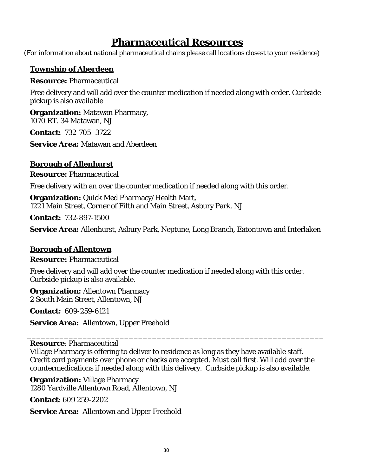# **Pharmaceutical Resources**

<span id="page-29-0"></span>(For information about national pharmaceutical chains please call locations closest to your residence)

### **Township of Aberdeen**

**Resource:** Pharmaceutical

Free delivery and will add over the counter medication if needed along with order. Curbside pickup is also available

**Organization:** Matawan Pharmacy, 1070 RT. 34 Matawan, NJ

**Contact:** 732-705- 3722

**Service Area:** Matawan and Aberdeen

# **Borough of Allenhurst**

**Resource:** Pharmaceutical

Free delivery with an over the counter medication if needed along with this order.

**Organization:** Quick Med Pharmacy/Health Mart, 1221 Main Street, Corner of Fifth and Main Street, Asbury Park, NJ

**Contact:** 732-897-1500

**Service Area:** Allenhurst, Asbury Park, Neptune, Long Branch, Eatontown and Interlaken

### **Borough of Allentown**

**Resource:** Pharmaceutical

Free delivery and will add over the counter medication if needed along with this order. Curbside pickup is also available.

**Organization:** Allentown Pharmacy 2 South Main Street, Allentown, NJ

**Contact:** 609-259-6121

**Service Area:** Allentown, Upper Freehold

**Resource**: Pharmaceutical

Village Pharmacy is offering to deliver to residence as long as they have available staff. Credit card payments over phone or checks are accepted. Must call first. Will add over the countermedications if needed along with this delivery. Curbside pickup is also available.

\_\_\_\_\_\_\_\_\_\_\_\_\_\_\_\_\_\_\_\_\_\_\_\_\_\_\_\_\_\_\_\_\_\_\_\_\_\_\_\_\_\_\_\_\_\_\_\_\_\_\_\_\_\_\_\_\_\_\_\_\_\_\_\_

**Organization:** Village Pharmacy 1280 Yardville Allentown Road, Allentown, NJ

**Contact**: 609 259-2202

**Service Area:** Allentown and Upper Freehold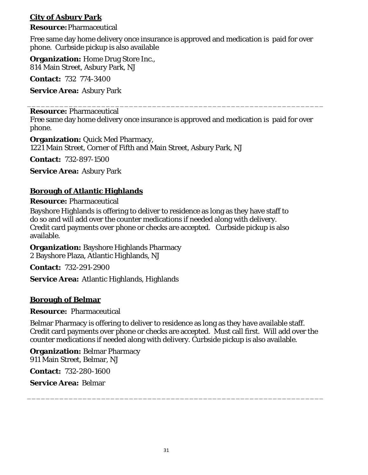# **City of Asbury Park**

### **Resource:**Pharmaceutical

Free same day home delivery once insurance is approved and medication is paid for over phone. Curbside pickup is also available

**Organization:** Home Drug Store Inc., 814 Main Street, Asbury Park, NJ

**Contact:** 732 774-3400

**Service Area:** Asbury Park

### **Resource:** Pharmaceutical

Free same day home delivery once insurance is approved and medication is paid for over phone.

\_\_\_\_\_\_\_\_\_\_\_\_\_\_\_\_\_\_\_\_\_\_\_\_\_\_\_\_\_\_\_\_\_\_\_\_\_\_\_\_\_\_\_\_\_\_\_\_\_\_\_\_\_\_\_\_\_\_\_\_\_\_\_\_

**Organization:** Quick Med Pharmacy, 1221 Main Street, Corner of Fifth and Main Street, Asbury Park, NJ

**Contact:** 732-897-1500

**Service Area:** Asbury Park

# **Borough of Atlantic Highlands**

### **Resource:** Pharmaceutical

Bayshore Highlands is offering to deliver to residence as long as they have staff to do so and will add over the counter medications if needed along with delivery. Credit card payments over phone or checks are accepted. Curbside pickup is also available.

**Organization:** Bayshore Highlands Pharmacy 2 Bayshore Plaza, Atlantic Highlands, NJ

**Contact:** 732-291-2900

**Service Area:** Atlantic Highlands, Highlands

### **Borough of Belmar**

### **Resource:** Pharmaceutical

Belmar Pharmacy is offering to deliver to residence as long as they have available staff. Credit card payments over phone or checks are accepted. Must call first. Will add over the counter medications if needed along with delivery. Curbside pickup is also available.

\_\_\_\_\_\_\_\_\_\_\_\_\_\_\_\_\_\_\_\_\_\_\_\_\_\_\_\_\_\_\_\_\_\_\_\_\_\_\_\_\_\_\_\_\_\_\_\_\_\_\_\_\_\_\_\_\_\_\_\_\_\_\_\_

**Organization: Belmar Pharmacy** 911 Main Street, Belmar, NJ

**Contact:** 732-280-1600

### **Service Area:** Belmar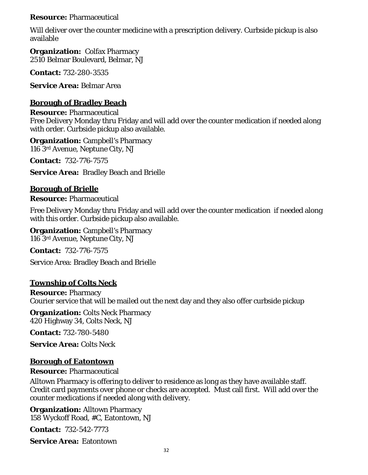### **Resource:** Pharmaceutical

Will deliver over the counter medicine with a prescription delivery. Curbside pickup is also available

**Organization: Colfax Pharmacy** 2510 Belmar Boulevard, Belmar, NJ

**Contact:** 732-280-3535

**Service Area:** Belmar Area

### **Borough of Bradley Beach**

**Resource:** Pharmaceutical Free Delivery Monday thru Friday and will add over the counter medication if needed along with order. Curbside pickup also available.

**Organization:** Campbell's Pharmacy 116 3rd Avenue, Neptune City, NJ

**Contact:** 732-776-7575

**Service Area:** Bradley Beach and Brielle

## **Borough of Brielle**

**Resource:** Pharmaceutical

Free Delivery Monday thru Friday and will add over the counter medication if needed along with this order. Curbside pickup also available.

**Organization:** Campbell's Pharmacy 116 3rd Avenue, Neptune City, NJ

**Contact:** 732-776-7575

Service Area: Bradley Beach and Brielle

# **Township of Colts Neck**

**Resource:** Pharmacy Courier service that will be mailed out the next day and they also offer curbside pickup

**Organization:** Colts Neck Pharmacy 420 Highway 34, Colts Neck, NJ

**Contact:** 732-780-5480

**Service Area:** Colts Neck

### **Borough of Eatontown**

### **Resource:** Pharmaceutical

Alltown Pharmacy is offering to deliver to residence as long as they have available staff. Credit card payments over phone or checks are accepted. Must call first. Will add over the counter medications if needed along with delivery.

**Organization:** Alltown Pharmacy 158 Wyckoff Road, #C, Eatontown, NJ

**Contact:** 732-542-7773

**Service Area:** Eatontown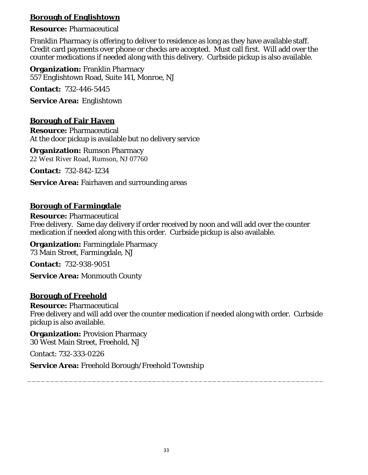# **Borough of Englishtown**

### **Resource:** Pharmaceutical

Franklin Pharmacy is offering to deliver to residence as long as they have available staff. Credit card payments over phone or checks are accepted. Must call first. Will add over the counter medications if needed along with this delivery. Curbside pickup is also available.

**Organization:** Franklin Pharmacy 557 Englishtown Road, Suite 141, Monroe, NJ

**Contact:** 732-446-5445

**Service Area:** Englishtown

## **Borough of Fair Haven**

**Resource:** Pharmaceutical At the door pickup is available but no delivery service

**Organization:** Rumson Pharmacy 22 West River Road, Rumson, NJ 07760

**Contact:** 732-842-1234

**Service Area:** Fairhaven and surrounding areas

## **Borough of Farmingdale**

**Resource:** Pharmaceutical Free delivery. Same day delivery if order received by noon and will add over the counter medication if needed along with this order. Curbside pickup is also available.

**Organization:** Farmingdale Pharmacy 73 Main Street, Farmingdale, NJ

**Contact:** 732-938-9051

**Service Area:** Monmouth County

### **Borough of Freehold**

**Resource:** Pharmaceutical Free delivery and will add over the counter medication if needed along with order. Curbside pickup is also available.

\_\_\_\_\_\_\_\_\_\_\_\_\_\_\_\_\_\_\_\_\_\_\_\_\_\_\_\_\_\_\_\_\_\_\_\_\_\_\_\_\_\_\_\_\_\_\_\_\_\_\_\_\_\_\_\_\_\_\_\_\_\_\_\_

**Organization:** Provision Pharmacy 30 West Main Street, Freehold, NJ

Contact: 732-333-0226

**Service Area:** Freehold Borough/Freehold Township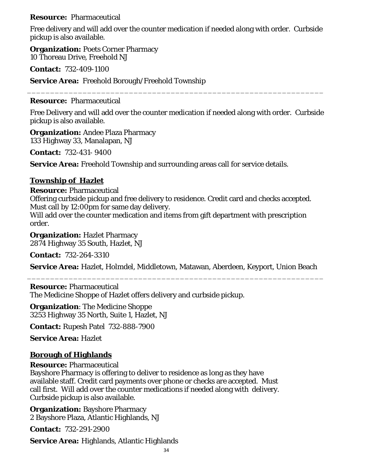### **Resource:** Pharmaceutical

Free delivery and will add over the counter medication if needed along with order. Curbside pickup is also available.

**Organization:** Poets Corner Pharmacy 10 Thoreau Drive, Freehold NJ

**Contact:** 732-409-1100

**Service Area:** Freehold Borough/Freehold Township

### **Resource:** Pharmaceutical

Free Delivery and will add over the counter medication if needed along with order. Curbside pickup is also available.

\_\_\_\_\_\_\_\_\_\_\_\_\_\_\_\_\_\_\_\_\_\_\_\_\_\_\_\_\_\_\_\_\_\_\_\_\_\_\_\_\_\_\_\_\_\_\_\_\_\_\_\_\_\_\_\_\_\_\_\_\_\_\_\_

**Organization:** Andee Plaza Pharmacy 133 Highway 33, Manalapan, NJ

**Contact:** 732-431- 9400

**Service Area:** Freehold Township and surrounding areas call for service details.

## **Township of Hazlet**

**Resource:** Pharmaceutical

Offering curbside pickup and free delivery to residence. Credit card and checks accepted. Must call by 12:00pm for same day delivery.

Will add over the counter medication and items from gift department with prescription order.

**Organization: Hazlet Pharmacy** 2874 Highway 35 South, Hazlet, NJ

**Contact:** 732-264-3310

**Service Area:** Hazlet, Holmdel, Middletown, Matawan, Aberdeen, Keyport, Union Beach \_\_\_\_\_\_\_\_\_\_\_\_\_\_\_\_\_\_\_\_\_\_\_\_\_\_\_\_\_\_\_\_\_\_\_\_\_\_\_\_\_\_\_\_\_\_\_\_\_\_\_\_\_\_\_\_\_\_\_\_\_\_\_\_

**Resource:** Pharmaceutical The Medicine Shoppe of Hazlet offers delivery and curbside pickup.

**Organization**: The Medicine Shoppe 3253 Highway 35 North, Suite 1, Hazlet, NJ

**Contact:** Rupesh Patel 732-888-7900

**Service Area:** Hazlet

# **Borough of Highlands**

**Resource:** Pharmaceutical

Bayshore Pharmacy is offering to deliver to residence as long as they have available staff. Credit card payments over phone or checks are accepted. Must call first. Will add over the counter medications if needed along with delivery. Curbside pickup is also available.

**Organization:** Bayshore Pharmacy 2 Bayshore Plaza, Atlantic Highlands, NJ

**Contact:** 732-291-2900

**Service Area:** Highlands, Atlantic Highlands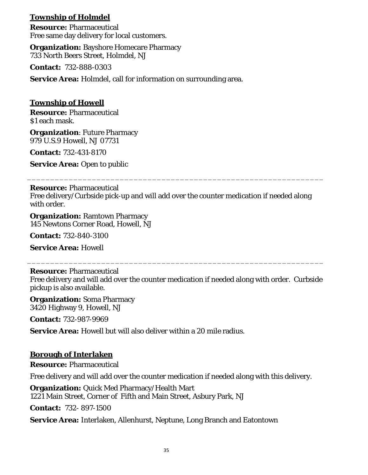# **Township of Holmdel**

**Resource:** Pharmaceutical Free same day delivery for local customers.

**Organization:** Bayshore Homecare Pharmacy 733 North Beers Street, Holmdel, NJ

**Contact:** 732-888-0303

**Service Area:** Holmdel, call for information on surrounding area.

### **Township of Howell**

**Resource:** Pharmaceutical \$1 each mask.

**Organization**: Future Pharmacy 979 U.S.9 Howell, NJ 07731

**Contact:** 732-431-8170

**Service Area:** Open to public

**Resource:** Pharmaceutical Free delivery/Curbside pick-up and will add over the counter medication if needed along with order.

\_\_\_\_\_\_\_\_\_\_\_\_\_\_\_\_\_\_\_\_\_\_\_\_\_\_\_\_\_\_\_\_\_\_\_\_\_\_\_\_\_\_\_\_\_\_\_\_\_\_\_\_\_\_\_\_\_\_\_\_\_\_\_\_

**Organization:** Ramtown Pharmacy 145 Newtons Corner Road, Howell, NJ

**Contact:** 732-840-3100

**Service Area:** Howell

#### **Resource:** Pharmaceutical

Free delivery and will add over the counter medication if needed along with order. Curbside pickup is also available.

\_\_\_\_\_\_\_\_\_\_\_\_\_\_\_\_\_\_\_\_\_\_\_\_\_\_\_\_\_\_\_\_\_\_\_\_\_\_\_\_\_\_\_\_\_\_\_\_\_\_\_\_\_\_\_\_\_\_\_\_\_\_\_\_

**Organization:** Soma Pharmacy 3420 Highway 9, Howell, NJ

**Contact:** 732-987-9969

**Service Area:** Howell but will also deliver within a 20 mile radius.

### **Borough of Interlaken**

**Resource:** Pharmaceutical

Free delivery and will add over the counter medication if needed along with this delivery.

**Organization:** Quick Med Pharmacy/Health Mart 1221 Main Street, Corner of Fifth and Main Street, Asbury Park, NJ

**Contact:** 732- 897-1500

**Service Area:** Interlaken, Allenhurst, Neptune, Long Branch and Eatontown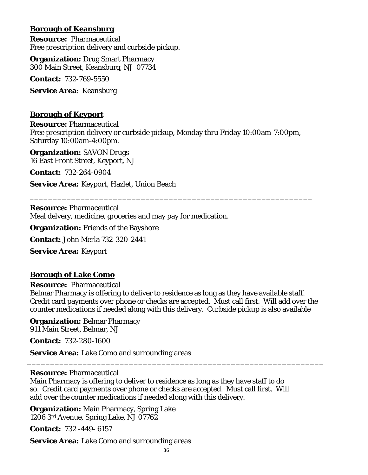## **Borough of Keansburg**

**Resource:** Pharmaceutical Free prescription delivery and curbside pickup.

**Organization:** Drug Smart Pharmacy 300 Main Street, Keansburg, NJ 07734

**Contact:** 732-769-5550

**Service Area**: Keansburg

### **Borough of Keyport**

**Resource:** Pharmaceutical Free prescription delivery or curbside pickup, Monday thru Friday 10:00am-7:00pm, Saturday 10:00am-4:00pm.

\_\_\_\_\_\_\_\_\_\_\_\_\_\_\_\_\_\_\_\_\_\_\_\_\_\_\_\_\_\_\_\_\_\_\_\_\_\_\_\_\_\_\_\_\_\_\_\_\_\_\_\_\_\_\_\_\_\_\_\_\_

**Organization:** SAVON Drugs 16 East Front Street, Keyport, NJ

**Contact:** 732-264-0904

**Service Area:** Keyport, Hazlet, Union Beach

**Resource:** Pharmaceutical Meal delvery, medicine, groceries and may pay for medication.

**Organization:** Friends of the Bayshore

**Contact:** John Merla 732-320-2441

**Service Area:** Keyport

### **Borough of Lake Como**

**Resource:** Pharmaceutical

Belmar Pharmacy is offering to deliver to residence as long as they have available staff. Credit card payments over phone or checks are accepted. Must call first. Will add over the counter medications if needed along with this delivery. Curbside pickup is also available

\_\_\_\_\_\_\_\_\_\_\_\_\_\_\_\_\_\_\_\_\_\_\_\_\_\_\_\_\_\_\_\_\_\_\_\_\_\_\_\_\_\_\_\_\_\_\_\_\_\_\_\_\_\_\_\_\_\_\_\_\_\_\_\_

**Organization:** Belmar Pharmacy 911 Main Street, Belmar, NJ

**Contact:** 732-280-1600

**Service Area:** Lake Como and surrounding areas

#### **Resource:** Pharmaceutical

Main Pharmacy is offering to deliver to residence as long as they have staff to do so. Credit card payments over phone or checks are accepted. Must call first. Will add over the counter medications if needed along with this delivery.

**Organization:** Main Pharmacy, Spring Lake 1206 3rd Avenue, Spring Lake, NJ 07762

**Contact:** 732 -449- 6157

**Service Area:** Lake Como and surrounding areas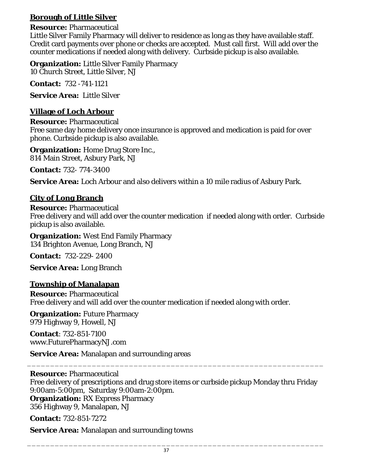# **Borough of Little Silver**

### **Resource:** Pharmaceutical

Little Silver Family Pharmacy will deliver to residence as long as they have available staff. Credit card payments over phone or checks are accepted. Must call first. Will add over the counter medications if needed along with delivery. Curbside pickup is also available.

**Organization:** Little Silver Family Pharmacy 10 Church Street, Little Silver, NJ

**Contact:** 732 -741-1121

**Service Area:** Little Silver

# **Village of Loch Arbour**

**Resource:** Pharmaceutical Free same day home delivery once insurance is approved and medication is paid for over phone. Curbside pickup is also available.

**Organization:** Home Drug Store Inc., 814 Main Street, Asbury Park, NJ

**Contact:** 732- 774-3400

**Service Area:** Loch Arbour and also delivers within a 10 mile radius of Asbury Park.

# **City of Long Branch**

**Resource:** Pharmaceutical Free delivery and will add over the counter medication if needed along with order. Curbside pickup is also available.

**Organization:** West End Family Pharmacy 134 Brighton Avenue, Long Branch, NJ

**Contact:** 732-229- 2400

**Service Area:** Long Branch

# **Township of Manalapan**

**Resource:** Pharmaceutical Free delivery and will add over the counter medication if needed along with order.

**Organization:** Future Pharmacy 979 Highway 9, Howell, NJ

**Contact**: 732-851-7100 www.FuturePharmacyNJ.com

**Service Area:** Manalapan and surrounding areas

# **Resource:** Pharmaceutical Free delivery of prescriptions and drug store items or curbside pickup Monday thru Friday 9:00am-5:00pm, Saturday 9:00am-2:00pm.

**Organization:** RX Express Pharmacy 356 Highway 9, Manalapan, NJ

**Contact:** 732-851-7272

**Service Area:** Manalapan and surrounding towns

\_\_\_\_\_\_\_\_\_\_\_\_\_\_\_\_\_\_\_\_\_\_\_\_\_\_\_\_\_\_\_\_\_\_\_\_\_\_\_\_\_\_\_\_\_\_\_\_\_\_\_\_\_\_\_\_\_\_\_\_\_\_\_\_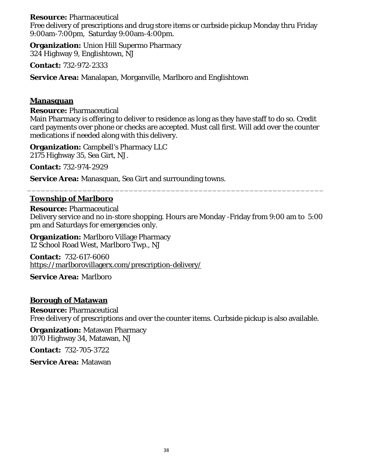### **Resource:** Pharmaceutical

Free delivery of prescriptions and drug store items or curbside pickup Monday thru Friday 9:00am-7:00pm, Saturday 9:00am-4:00pm.

**Organization:** Union Hill Supermo Pharmacy 324 Highway 9, Englishtown, NJ

**Contact:** 732-972-2333

**Service Area:** Manalapan, Morganville, Marlboro and Englishtown

### **Manasquan**

**Resource:** Pharmaceutical

Main Pharmacy is offering to deliver to residence as long as they have staff to do so. Credit card payments over phone or checks are accepted. Must call first. Will add over the counter medications if needed along with this delivery.

**Organization:** Campbell's Pharmacy LLC 2175 Highway 35, Sea Girt, NJ.

**Contact:** 732-974-2929

**Service Area:** Manasquan, Sea Girt and surrounding towns.

# **Township of Marlboro**

**Resource:** Pharmaceutical Delivery service and no in-store shopping. Hours are Monday -Friday from 9:00 am to 5:00 pm and Saturdays for emergencies only.

\_\_\_\_\_\_\_\_\_\_\_\_\_\_\_\_\_\_\_\_\_\_\_\_\_\_\_\_\_\_\_\_\_\_\_\_\_\_\_\_\_\_\_\_\_\_\_\_\_\_\_\_\_\_\_\_\_\_\_\_\_\_\_\_

**Organization:** Marlboro Village Pharmacy 12 School Road West, Marlboro Twp., NJ

**Contact:** 732-617-6060 <https://marlborovillagerx.com/prescription-delivery/>

**Service Area:** Marlboro

### **Borough of Matawan**

**Resource:** Pharmaceutical Free delivery of prescriptions and over the counter items. Curbside pickup is also available.

**Organization:** Matawan Pharmacy 1070 Highway 34, Matawan, NJ

**Contact:** 732-705-3722

**Service Area:** Matawan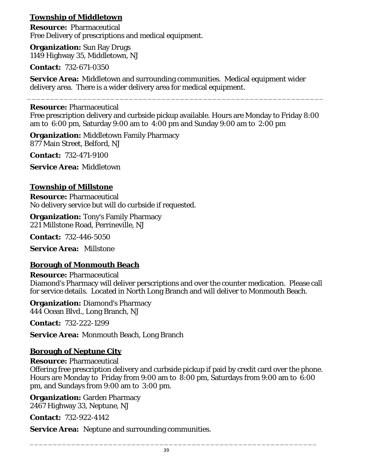# **Township of Middletown**

**Resource:** Pharmaceutical Free Delivery of prescriptions and medical equipment.

**Organization:** Sun Ray Drugs 1149 Highway 35, Middletown, NJ

**Contact:** 732-671-0350

**Service Area:** Middletown and surrounding communities. Medical equipment wider delivery area. There is a wider delivery area for medical equipment. \_\_\_\_\_\_\_\_\_\_\_\_\_\_\_\_\_\_\_\_\_\_\_\_\_\_\_\_\_\_\_\_\_\_\_\_\_\_\_\_\_\_\_\_\_\_\_\_\_\_\_\_\_\_\_\_\_\_\_\_\_\_\_\_

# **Resource:** Pharmaceutical

Free prescription delivery and curbside pickup available. Hours are Monday to Friday 8:00 am to 6:00 pm, Saturday 9:00 am to 4:00 pm and Sunday 9:00 am to 2:00 pm

**Organization:** Middletown Family Pharmacy 877 Main Street, Belford, NJ

**Contact:** 732-471-9100

**Service Area:** Middletown

# **Township of Millstone**

**Resource:** Pharmaceutical No delivery service but will do curbside if requested.

**Organization:** Tony's Family Pharmacy 221 Millstone Road, Perrineville, NJ

**Contact:** 732-446-5050

**Service Area:** Millstone

# **Borough of Monmouth Beach**

**Resource:** Pharmaceutical Diamond's Pharmacy will deliver perscriptions and over the counter medication. Please call for service details. Located in North Long Branch and will deliver to Monmouth Beach.

**Organization:** Diamond's Pharmacy 444 Ocean Blvd., Long Branch, NJ

**Contact:** 732-222-1299

**Service Area:** Monmouth Beach, Long Branch

# **Borough of Neptune City**

# **Resource:** Pharmaceutical

Offering free prescription delivery and curbside pickup if paid by credit card over the phone. Hours are Monday to Friday from 9:00 am to 8:00 pm, Saturdays from 9:00 am to 6:00 pm, and Sundays from 9:00 am to 3:00 pm.

**Organization:** Garden Pharmacy 2467 Highway 33, Neptune, NJ

**Contact:** 732-922-4142

**Service Area:** Neptune and surrounding communities.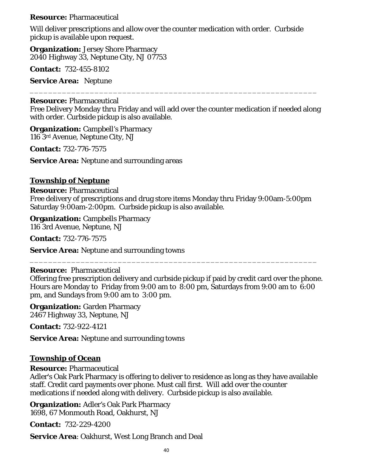### **Resource:** Pharmaceutical

Will deliver prescriptions and allow over the counter medication with order. Curbside pickup is available upon request.

**Organization:** Jersey Shore Pharmacy 2040 Highway 33, Neptune City, NJ 07753

**Contact:** 732-455-8102

**Service Area:** Neptune

### **Resource:** Pharmaceutical

Free Delivery Monday thru Friday and will add over the counter medication if needed along with order. Curbside pickup is also available.

\_\_\_\_\_\_\_\_\_\_\_\_\_\_\_\_\_\_\_\_\_\_\_\_\_\_\_\_\_\_\_\_\_\_\_\_\_\_\_\_\_\_\_\_\_\_\_\_\_\_\_\_\_\_\_\_\_\_\_\_\_\_

**Organization:** Campbell's Pharmacy 116 3rd Avenue, Neptune City, NJ

**Contact:** 732-776-7575

**Service Area:** Neptune and surrounding areas

### **Township of Neptune**

**Resource:** Pharmaceutical Free delivery of prescriptions and drug store items Monday thru Friday 9:00am-5:00pm Saturday 9:00am-2:00pm. Curbside pickup is also available.

**Organization:** Campbells Pharmacy 116 3rd Avenue, Neptune, NJ

**Contact:** 732-776-7575

**Service Area:** Neptune and surrounding towns

### **Resource:** Pharmaceutical

Offering free prescription delivery and curbside pickup if paid by credit card over the phone. Hours are Monday to Friday from 9:00 am to 8:00 pm, Saturdays from 9:00 am to 6:00 pm, and Sundays from 9:00 am to 3:00 pm.

\_\_\_\_\_\_\_\_\_\_\_\_\_\_\_\_\_\_\_\_\_\_\_\_\_\_\_\_\_\_\_\_\_\_\_\_\_\_\_\_\_\_\_\_\_\_\_\_\_\_\_\_\_\_\_\_\_\_\_\_\_\_

**Organization:** Garden Pharmacy 2467 Highway 33, Neptune, NJ

**Contact:** 732-922-4121

**Service Area:** Neptune and surrounding towns

### **Township of Ocean**

**Resource:** Pharmaceutical

Adler's Oak Park Pharmacy is offering to deliver to residence as long as they have available staff. Credit card payments over phone. Must call first. Will add over the counter medications if needed along with delivery. Curbside pickup is also available.

**Organization:** Adler's Oak Park Pharmacy 1698, 67 Monmouth Road, Oakhurst, NJ

**Contact:** 732-229-4200

**Service Area**: Oakhurst, West Long Branch and Deal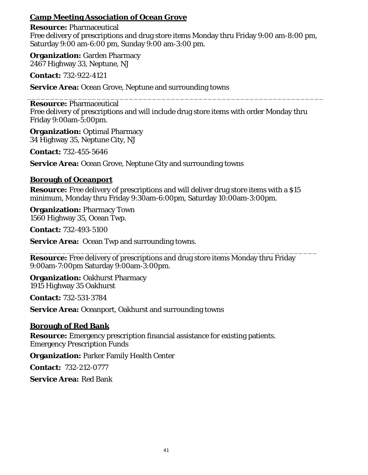## **Camp Meeting Association of Ocean Grove**

**Resource:** Pharmaceutical Free delivery of prescriptions and drug store items Monday thru Friday 9:00 am-8:00 pm, Saturday 9:00 am-6:00 pm, Sunday 9:00 am-3:00 pm.

**Organization:** Garden Pharmacy 2467 Highway 33, Neptune, NJ

**Contact:** 732-922-4121

**Service Area:** Ocean Grove, Neptune and surrounding towns

#### \_\_\_\_\_\_\_\_\_\_\_\_\_\_\_\_\_\_\_\_\_\_\_\_\_\_\_\_\_\_\_\_\_\_\_\_\_\_\_\_\_\_\_\_\_\_\_\_\_\_\_\_\_\_\_\_\_\_\_\_\_\_\_\_ **Resource:** Pharmaceutical

Free delivery of prescriptions and will include drug store items with order Monday thru Friday 9:00am-5:00pm.

**Organization:** Optimal Pharmacy 34 Highway 35, Neptune City, NJ

**Contact:** 732-455-5646

**Service Area:** Ocean Grove, Neptune City and surrounding towns

### **Borough of Oceanport**

**Resource:** Free delivery of prescriptions and will deliver drug store items with a \$15 minimum, Monday thru Friday 9:30am-6:00pm, Saturday 10:00am-3:00pm.

**Organization:** Pharmacy Town 1560 Highway 35, Ocean Twp.

**Contact:** 732-493-5100

**Service Area:** Ocean Twp and surrounding towns.

\_\_\_\_\_\_\_\_\_\_\_\_\_\_\_\_\_\_\_\_\_\_\_\_\_\_\_\_\_\_\_\_\_\_\_\_\_\_\_\_\_\_\_\_\_\_\_\_\_\_\_\_\_\_\_\_\_\_\_\_\_\_ **Resource:** Free delivery of prescriptions and drug store items Monday thru Friday 9:00am-7:00pm Saturday 9:00am-3:00pm.

**Organization:** Oakhurst Pharmacy 1915 Highway 35 Oakhurst

**Contact:** 732-531-3784

**Service Area:** Oceanport, Oakhurst and surrounding towns

# **Borough of Red Bank**

**Resource:** Emergency prescription financial assistance for existing patients. Emergency Prescription Funds

**Organization:** Parker Family Health Center

**Contact:** 732-212-0777

**Service Area:** Red Bank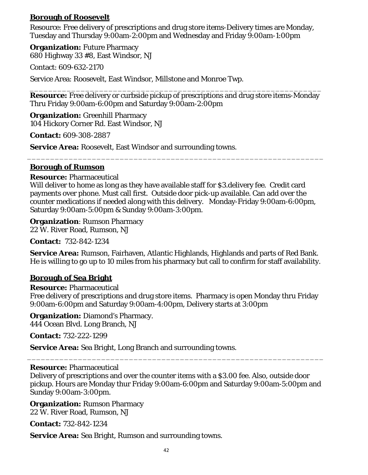## **Borough of Roosevelt**

Resource: Free delivery of prescriptions and drug store items-Delivery times are Monday, Tuesday and Thursday 9:00am-2:00pm and Wednesday and Friday 9:00am-1:00pm

**Organization:** Future Pharmacy 680 Highway 33 #8, East Windsor, NJ

Contact: 609-632-2170

Service Area: Roosevelt, East Windsor, Millstone and Monroe Twp.

\_\_\_\_\_\_\_\_\_\_\_\_\_\_\_\_\_\_\_\_\_\_\_\_\_\_\_\_\_\_\_\_\_\_\_\_\_\_\_\_\_\_\_\_\_\_\_\_\_\_\_\_\_\_\_\_\_\_\_\_\_\_\_ **Resource:** Free delivery or curbside pickup of prescriptions and drug store items-Monday Thru Friday 9:00am-6:00pm and Saturday 9:00am-2:00pm

**Organization:** Greenhill Pharmacy 104 Hickory Corner Rd. East Windsor, NJ

**Contact:** 609-308-2887

**Service Area:** Roosevelt, East Windsor and surrounding towns.

### **Borough of Rumson**

### **Resource:** Pharmaceutical

Will deliver to home as long as they have available staff for \$3.delivery fee. Credit card payments over phone. Must call first. Outside door pick-up available. Can add over the counter medications if needed along with this delivery. Monday-Friday 9:00am-6:00pm, Saturday 9:00am-5:00pm & Sunday 9:00am-3:00pm.

\_\_\_\_\_\_\_\_\_\_\_\_\_\_\_\_\_\_\_\_\_\_\_\_\_\_\_\_\_\_\_\_\_\_\_\_\_\_\_\_\_\_\_\_\_\_\_\_\_\_\_\_\_\_\_\_\_\_\_\_\_\_\_\_

**Organization**: Rumson Pharmacy

22 W. River Road, Rumson, NJ

**Contact:** 732-842-1234

**Service Area:** Rumson, Fairhaven, Atlantic Highlands, Highlands and parts of Red Bank. He is willing to go up to 10 miles from his pharmacy but call to confirm for staff availability.

### **Borough of Sea Bright**

#### **Resource:** Pharmaceutical

Free delivery of prescriptions and drug store items. Pharmacy is open Monday thru Friday 9:00am-6:00pm and Saturday 9:00am-4:00pm, Delivery starts at 3:00pm

# **Organization:** Diamond's Pharmacy.

444 Ocean Blvd. Long Branch, NJ

**Contact:** 732-222-1299

**Service Area:** Sea Bright, Long Branch and surrounding towns.

#### **Resource:** Pharmaceutical

Delivery of prescriptions and over the counter items with a \$3.00 fee. Also, outside door pickup. Hours are Monday thur Friday 9:00am-6:00pm and Saturday 9:00am-5:00pm and Sunday 9:00am-3:00pm.

\_\_\_\_\_\_\_\_\_\_\_\_\_\_\_\_\_\_\_\_\_\_\_\_\_\_\_\_\_\_\_\_\_\_\_\_\_\_\_\_\_\_\_\_\_\_\_\_\_\_\_\_\_\_\_\_\_\_\_\_\_\_\_\_

**Organization:** Rumson Pharmacy 22 W. River Road, Rumson, NJ

**Contact:** 732-842-1234

**Service Area:** Sea Bright, Rumson and surrounding towns.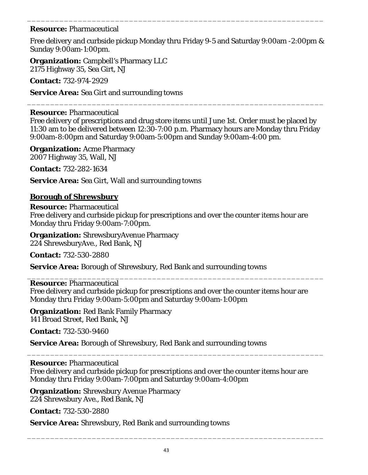### **Resource:** Pharmaceutical

Free delivery and curbside pickup Monday thru Friday 9-5 and Saturday 9:00am -2:00pm & Sunday 9:00am-1:00pm.

\_\_\_\_\_\_\_\_\_\_\_\_\_\_\_\_\_\_\_\_\_\_\_\_\_\_\_\_\_\_\_\_\_\_\_\_\_\_\_\_\_\_\_\_\_\_\_\_\_\_\_\_\_\_\_\_\_\_\_\_\_\_\_\_

**Organization:** Campbell's Pharmacy LLC 2175 Highway 35, Sea Girt, NJ

**Contact:** 732-974-2929

**Service Area:** Sea Girt and surrounding towns

### **Resource:** Pharmaceutical

Free delivery of prescriptions and drug store items until June 1st. Order must be placed by 11:30 am to be delivered between 12:30-7:00 p.m. Pharmacy hours are Monday thru Friday 9:00am-8:00pm and Saturday 9:00am-5:00pm and Sunday 9:00am-4:00 pm.

\_\_\_\_\_\_\_\_\_\_\_\_\_\_\_\_\_\_\_\_\_\_\_\_\_\_\_\_\_\_\_\_\_\_\_\_\_\_\_\_\_\_\_\_\_\_\_\_\_\_\_\_\_\_\_\_\_\_\_\_\_\_\_\_

**Organization:** Acme Pharmacy 2007 Highway 35, Wall, NJ

**Contact:** 732-282-1634

**Service Area:** Sea Girt, Wall and surrounding towns

### **Borough of Shrewsbury**

**Resource:** Pharmaceutical Free delivery and curbside pickup for prescriptions and over the counter items hour are Monday thru Friday 9:00am-7:00pm.

**Organization:** ShrewsburyAvenue Pharmacy 224 ShrewsburyAve., Red Bank, NJ

**Contact:** 732-530-2880

**Service Area:** Borough of Shrewsbury, Red Bank and surrounding towns

#### \_\_\_\_\_\_\_\_\_\_\_\_\_\_\_\_\_\_\_\_\_\_\_\_\_\_\_\_\_\_\_\_\_\_\_\_\_\_\_\_\_\_\_\_\_\_\_\_\_\_\_\_\_\_\_\_\_\_\_\_\_\_\_\_ **Resource:** Pharmaceutical

Free delivery and curbside pickup for prescriptions and over the counter items hour are Monday thru Friday 9:00am-5:00pm and Saturday 9:00am-1:00pm

**Organization:** Red Bank Family Pharmacy 141 Broad Street, Red Bank, NJ

**Contact:** 732-530-9460

**Service Area:** Borough of Shrewsbury, Red Bank and surrounding towns

### **Resource:** Pharmaceutical

Free delivery and curbside pickup for prescriptions and over the counter items hour are Monday thru Friday 9:00am-7:00pm and Saturday 9:00am-4:00pm

\_\_\_\_\_\_\_\_\_\_\_\_\_\_\_\_\_\_\_\_\_\_\_\_\_\_\_\_\_\_\_\_\_\_\_\_\_\_\_\_\_\_\_\_\_\_\_\_\_\_\_\_\_\_\_\_\_\_\_\_\_\_\_\_

**Organization:** Shrewsbury Avenue Pharmacy 224 Shrewsbury Ave., Red Bank, NJ

**Contact:** 732-530-2880

**Service Area:** Shrewsbury, Red Bank and surrounding towns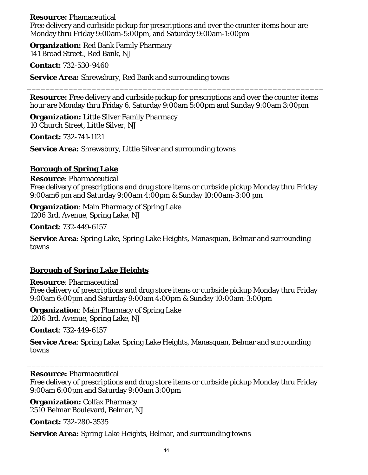### **Resource:** Phamaceutical

Free delivery and curbside pickup for prescriptions and over the counter items hour are Monday thru Friday 9:00am-5:00pm, and Saturday 9:00am-1:00pm

**Organization:** Red Bank Family Pharmacy 141 Broad Street., Red Bank, NJ

**Contact:** 732-530-9460

**Service Area:** Shrewsbury, Red Bank and surrounding towns

**Resource:** Free delivery and curbside pickup for prescriptions and over the counter items hour are Monday thru Friday 6, Saturday 9:00am 5:00pm and Sunday 9:00am 3:00pm

\_\_\_\_\_\_\_\_\_\_\_\_\_\_\_\_\_\_\_\_\_\_\_\_\_\_\_\_\_\_\_\_\_\_\_\_\_\_\_\_\_\_\_\_\_\_\_\_\_\_\_\_\_\_\_\_\_\_\_\_\_\_\_\_

**Organization:** Little Silver Family Pharmacy 10 Church Street, Little Silver, NJ

**Contact:** 732-741-1121

**Service Area:** Shrewsbury, Little Silver and surrounding towns

### **Borough of Spring Lake**

**Resource**: Pharmaceutical Free delivery of prescriptions and drug store items or curbside pickup Monday thru Friday 9:00am6 pm and Saturday 9:00am 4:00pm & Sunday 10:00am-3:00 pm

**Organization**: Main Pharmacy of Spring Lake 1206 3rd. Avenue, Spring Lake, NJ

**Contact**: 732-449-6157

**Service Area**: Spring Lake, Spring Lake Heights, Manasquan, Belmar and surrounding towns

### **Borough of Spring Lake Heights**

**Resource**: Pharmaceutical Free delivery of prescriptions and drug store items or curbside pickup Monday thru Friday 9:00am 6:00pm and Saturday 9:00am 4:00pm & Sunday 10:00am-3:00pm

**Organization**: Main Pharmacy of Spring Lake 1206 3rd. Avenue, Spring Lake, NJ

**Contact**: 732-449-6157

**Service Area**: Spring Lake, Spring Lake Heights, Manasquan, Belmar and surrounding towns

### **Resource:** Pharmaceutical

Free delivery of prescriptions and drug store items or curbside pickup Monday thru Friday 9:00am 6:00pm and Saturday 9:00am 3:00pm

\_\_\_\_\_\_\_\_\_\_\_\_\_\_\_\_\_\_\_\_\_\_\_\_\_\_\_\_\_\_\_\_\_\_\_\_\_\_\_\_\_\_\_\_\_\_\_\_\_\_\_\_\_\_\_\_\_\_\_\_\_\_\_\_

**Organization:** Colfax Pharmacy 2510 Belmar Boulevard, Belmar, NJ

**Contact:** 732-280-3535

**Service Area:** Spring Lake Heights, Belmar, and surrounding towns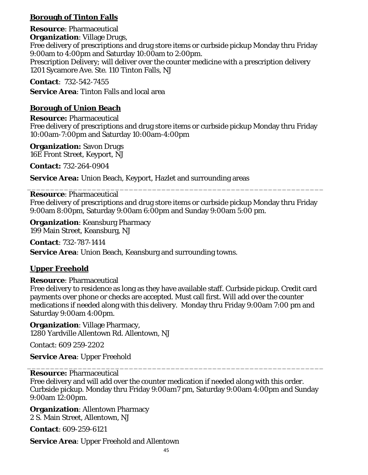# **Borough of Tinton Falls**

**Resource**: Pharmaceutical **Organization**: Village Drugs, Free delivery of prescriptions and drug store items or curbside pickup Monday thru Friday 9:00am to 4:00pm and Saturday 10:00am to 2:00pm. Prescription Delivery; will deliver over the counter medicine with a prescription delivery 1201 Sycamore Ave. Ste. 110 Tinton Falls, NJ

### **Contact**: 732-542-7455

**Service Area**: Tinton Falls and local area

### **Borough of Union Beach**

**Resource:** Pharmaceutical Free delivery of prescriptions and drug store items or curbside pickup Monday thru Friday 10:00am-7:00pm and Saturday 10:00am-4:00pm

**Organization:** Savon Drugs 16E Front Street, Keyport, NJ

**Contact:** 732-264-0904

**Service Area:** Union Beach, Keyport, Hazlet and surrounding areas

#### \_\_\_\_\_\_\_\_\_\_\_\_\_\_\_\_\_\_\_\_\_\_\_\_\_\_\_\_\_\_\_\_\_\_\_\_\_\_\_\_\_\_\_\_\_\_\_\_\_\_\_\_\_\_\_\_\_\_\_\_\_\_\_\_ **Resource**: Pharmaceutical

Free delivery of prescriptions and drug store items or curbside pickup Monday thru Friday 9:00am 8:00pm, Saturday 9:00am 6:00pm and Sunday 9:00am 5:00 pm.

**Organization:** Keansburg Pharmacy 199 Main Street, Keansburg, NJ

**Contact**: 732-787-1414

**Service Area:** Union Beach, Keansburg and surrounding towns.

### **Upper Freehold**

### **Resource**: Pharmaceutical

Free delivery to residence as long as they have available staff. Curbside pickup. Credit card payments over phone or checks are accepted. Must call first. Will add over the counter medications if needed along with this delivery. Monday thru Friday 9:00am 7:00 pm and Saturday 9:00am 4:00pm.

**Organization**: Village Pharmacy, 1280 Yardville Allentown Rd. Allentown, NJ

Contact: 609 259-2202

**Service Area**: Upper Freehold

#### \_\_\_\_\_\_\_\_\_\_\_\_\_\_\_\_\_\_\_\_\_\_\_\_\_\_\_\_\_\_\_\_\_\_\_\_\_\_\_\_\_\_\_\_\_\_\_\_\_\_\_\_\_\_\_\_\_\_\_\_\_\_\_\_ **Resource:** Pharmaceutical

Free delivery and will add over the counter medication if needed along with this order. Curbside pickup. Monday thru Friday 9:00am7 pm, Saturday 9:00am 4:00pm and Sunday 9:00am 12:00pm.

**Organization**: Allentown Pharmacy 2 S. Main Street, Allentown, NJ

**Contact**: 609-259-6121

**Service Area**: Upper Freehold and Allentown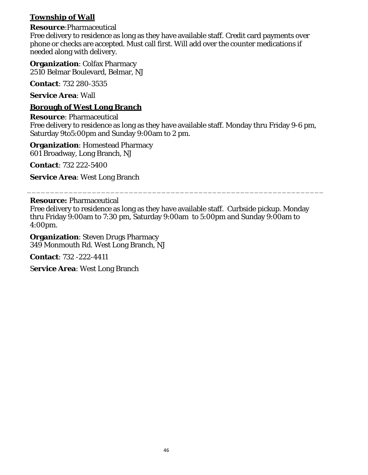# **Township of Wall**

### **Resource**:Pharmaceutical

Free delivery to residence as long as they have available staff. Credit card payments over phone or checks are accepted. Must call first. Will add over the counter medications if needed along with delivery.

**Organization**: Colfax Pharmacy 2510 Belmar Boulevard, Belmar, NJ

**Contact**: 732 280-3535

**Service Area**: Wall

### **Borough of West Long Branch**

**Resource**: Pharmaceutical

Free delivery to residence as long as they have available staff. Monday thru Friday 9-6 pm, Saturday 9to5:00pm and Sunday 9:00am to 2 pm.

**Organization**: Homestead Pharmacy 601 Broadway, Long Branch, NJ

**Contact**: 732 222-5400

**Service Area**: West Long Branch

### **Resource:** Pharmaceutical

Free delivery to residence as long as they have available staff. Curbside pickup. Monday thru Friday 9:00am to 7:30 pm, Saturday 9:00am to 5:00pm and Sunday 9:00am to 4:00pm.

\_\_\_\_\_\_\_\_\_\_\_\_\_\_\_\_\_\_\_\_\_\_\_\_\_\_\_\_\_\_\_\_\_\_\_\_\_\_\_\_\_\_\_\_\_\_\_\_\_\_\_\_\_\_\_\_\_\_\_\_\_\_\_\_

**Organization**: Steven Drugs Pharmacy 349 Monmouth Rd. West Long Branch, NJ

**Contact**: 732 -222-4411

S**ervice Area**: West Long Branch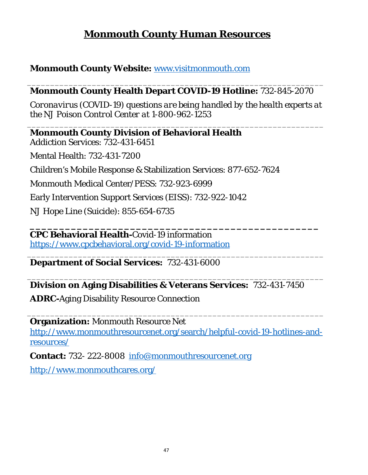# **Monmouth County Human Resources**

# <span id="page-46-0"></span>**Monmouth County Website:** [www.visitmonmouth.com](http://www.visitmonmouth.com/)

### \_\_\_\_\_\_\_\_\_\_\_\_\_\_\_\_\_\_\_\_\_\_\_\_\_\_\_\_\_\_\_\_\_\_\_\_\_\_\_\_\_\_\_\_\_\_\_\_\_\_\_\_\_\_\_\_\_\_\_\_\_\_\_\_ **Monmouth County Health Depart COVID-19 Hotline:** 732-845-2070

*Coronavirus (COVID-19) questions are being handled by the health experts at the NJ Poison Control Center at 1-800-962-1253*

\_\_\_\_\_\_\_\_\_\_\_\_\_\_\_\_\_\_\_\_\_\_\_\_\_\_\_\_\_\_\_\_\_\_\_\_\_\_\_\_\_\_\_\_\_\_\_\_\_\_\_\_\_\_\_\_\_\_\_\_\_\_\_\_

**Monmouth County Division of Behavioral Health** Addiction Services: 732-431-6451 Mental Health: 732-431-7200 Children's Mobile Response & Stabilization Services: 877-652-7624 Monmouth Medical Center/PESS: 732-923-6999 Early Intervention Support Services (EISS): 732-922-1042 NJ Hope Line (Suicide): 855-654-6735

**\_\_\_\_\_\_\_\_\_\_\_\_\_\_\_\_\_\_\_\_\_\_\_\_\_\_\_\_\_\_\_\_\_\_\_\_\_\_\_\_\_\_\_\_\_\_\_\_\_ CPC Behavioral Health-**Covid-19 information <https://www.cpcbehavioral.org/covid-19-information>

\_\_\_\_\_\_\_\_\_\_\_\_\_\_\_\_\_\_\_\_\_\_\_\_\_\_\_\_\_\_\_\_\_\_\_\_\_\_\_\_\_\_\_\_\_\_\_\_\_\_\_\_\_\_\_\_\_\_\_\_\_\_\_\_ **Department of Social Services:** 732-431-6000

### \_\_\_\_\_\_\_\_\_\_\_\_\_\_\_\_\_\_\_\_\_\_\_\_\_\_\_\_\_\_\_\_\_\_\_\_\_\_\_\_\_\_\_\_\_\_\_\_\_\_\_\_\_\_\_\_\_\_\_\_\_\_\_\_ **Division on Aging Disabilities & Veterans Services:** 732-431-7450

**ADRC-**Aging Disability Resource Connection

**Organization:** Monmouth Resource Net

[http://www.monmouthresourcenet.org/search/helpful-covid-19-hotlines-and](http://www.monmouthresourcenet.org/search/helpful-covid-19-hotlines-and-resources/)[resources/](http://www.monmouthresourcenet.org/search/helpful-covid-19-hotlines-and-resources/)

\_\_\_\_\_\_\_\_\_\_\_\_\_\_\_\_\_\_\_\_\_\_\_\_\_\_\_\_\_\_\_\_\_\_\_\_\_\_\_\_\_\_\_\_\_\_\_\_\_\_\_\_\_\_\_\_\_\_\_\_\_\_\_\_

**Contact:** 732- 222-8008 [info@monmouthresourcenet.org](mailto:info@monmouthresourcenet.org) 

<http://www.monmouthcares.org/>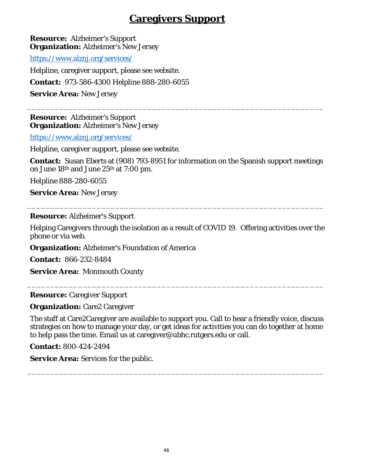# **Caregivers Support**

<span id="page-47-0"></span>**Resource:** Alzheimer's Support **Organization:** Alzheimer's New Jersey

<https://www.alznj.org/services/>

Helpline, caregiver support, please see website.

**Contact:** 973-586-4300 Helpline 888-280-6055

**Service Area:** New Jersey

**Resource:** Alzheimer's Support **Organization:** Alzheimer's New Jersey

<https://www.alznj.org/services/>

Helpline, caregiver support, please see website.

**Contact:** Susan Eberts at (908) 793-8951 for information on the Spanish support meetings on June 18th and June 25th at 7:00 pm.

\_\_\_\_\_\_\_\_\_\_\_\_\_\_\_\_\_\_\_\_\_\_\_\_\_\_\_\_\_\_\_\_\_\_\_\_\_\_\_\_\_\_\_\_\_\_\_\_\_\_\_\_\_\_\_\_\_\_\_\_\_\_\_\_

Helpline 888-280-6055

**Service Area:** New Jersey

**Resource:** Alzheimer's Support

Helping Caregivers through the isolation as a result of COVID 19. Offering activities over the phone or via web.

\_\_\_\_\_\_\_\_\_\_\_\_\_\_\_\_\_\_\_\_\_\_\_\_\_\_\_\_\_\_\_\_\_\_\_\_\_\_\_\_\_\_\_\_\_\_\_\_\_\_\_\_\_\_\_\_\_\_\_\_\_\_\_\_

**Organization:** Alzheimer's Foundation of America

**Contact:** 866-232-8484

**Service Area:** Monmouth County

**Resource:** Caregiver Support

**Organization:** Care2 Caregiver

The staff at Care2Caregiver are available to support you. Call to hear a friendly voice, discuss strategies on how to manage your day, or get ideas for activities you can do together at home to help pass the time. Email us at caregiver@ubhc.rutgers.edu or call.

\_\_\_\_\_\_\_\_\_\_\_\_\_\_\_\_\_\_\_\_\_\_\_\_\_\_\_\_\_\_\_\_\_\_\_\_\_\_\_\_\_\_\_\_\_\_\_\_\_\_\_\_\_\_\_\_\_\_\_\_\_\_\_\_

\_\_\_\_\_\_\_\_\_\_\_\_\_\_\_\_\_\_\_\_\_\_\_\_\_\_\_\_\_\_\_\_\_\_\_\_\_\_\_\_\_\_\_\_\_\_\_\_\_\_\_\_\_\_\_\_\_\_\_\_\_\_\_\_

**Contact:** 800-424-2494

**Service Area:** Services for the public.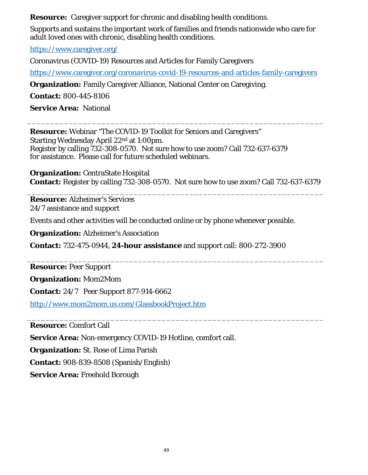**Resource:** Caregiver support for chronic and disabling health conditions.

Supports and sustains the important work of families and friends nationwide who care for adult loved ones with chronic, disabling health conditions.

<https://www.caregiver.org/>

Coronavirus (COVID-19) Resources and Articles for Family Caregivers

<https://www.caregiver.org/coronavirus-covid-19-resources-and-articles-family-caregivers>

**Organization:** Family Caregiver Alliance, National Center on Caregiving.

**Contact:** 800-445-8106

**Service Area:** National

**Resource:** Webinar "The COVID-19 Toolkit for Seniors and Caregivers" Starting Wednesday April 22nd at 1:00pm. Register by calling 732-308-0570. Not sure how to use zoom? Call 732-637-6379 for assistance. Please call for future scheduled webinars.

**Organization:** CentraState Hospital **Contact:** Register by calling 732-308-0570. Not sure how to use zoom? Call 732-637-6379

\_\_\_\_\_\_\_\_\_\_\_\_\_\_\_\_\_\_\_\_\_\_\_\_\_\_\_\_\_\_\_\_\_\_\_\_\_\_\_\_\_\_\_\_\_\_\_\_\_\_\_\_\_\_\_\_\_\_\_\_\_\_\_\_

\_\_\_\_\_\_\_\_\_\_\_\_\_\_\_\_\_\_\_\_\_\_\_\_\_\_\_\_\_\_\_\_\_\_\_\_\_\_\_\_\_\_\_\_\_\_\_\_\_\_\_\_\_\_\_\_\_\_\_\_\_\_\_\_

\_\_\_\_\_\_\_\_\_\_\_\_\_\_\_\_\_\_\_\_\_\_\_\_\_\_\_\_\_\_\_\_\_\_\_\_\_\_\_\_\_\_\_\_\_\_\_\_\_\_\_\_\_\_\_\_\_\_\_\_\_\_\_\_

\_\_\_\_\_\_\_\_\_\_\_\_\_\_\_\_\_\_\_\_\_\_\_\_\_\_\_\_\_\_\_\_\_\_\_\_\_\_\_\_\_\_\_\_\_\_\_\_\_\_\_\_\_\_\_\_\_\_\_\_\_\_\_\_

**Resource:** Alzheimer's Services 24/7 assistance and support

Events and other activities will be conducted online or by phone whenever possible.

**Organization:** Alzheimer's Association

**Contact:** 732-475-0944, **24-hour assistance** and support call: 800-272-3900

**Resource:** Peer Support

**Organization:** Mom2Mom

**Contact:** 24/7 Peer Support 877-914-6662

<http://www.mom2mom.us.com/GlassbookProject.htm>

**Resource:** Comfort Call

**Service Area:** Non-emergency COVID-19 Hotline, comfort call.

**Organization:** St. Rose of Lima Parish

**Contact:** 908-839-8508 (Spanish/English)

**Service Area:** Freehold Borough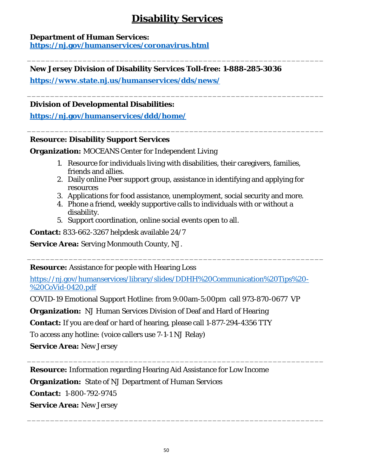# **Disability Services**

\_\_\_\_\_\_\_\_\_\_\_\_\_\_\_\_\_\_\_\_\_\_\_\_\_\_\_\_\_\_\_\_\_\_\_\_\_\_\_\_\_\_\_\_\_\_\_\_\_\_\_\_\_\_\_\_\_\_\_\_\_\_\_\_

\_\_\_\_\_\_\_\_\_\_\_\_\_\_\_\_\_\_\_\_\_\_\_\_\_\_\_\_\_\_\_\_\_\_\_\_\_\_\_\_\_\_\_\_\_\_\_\_\_\_\_\_\_\_\_\_\_\_\_\_\_\_\_\_

\_\_\_\_\_\_\_\_\_\_\_\_\_\_\_\_\_\_\_\_\_\_\_\_\_\_\_\_\_\_\_\_\_\_\_\_\_\_\_\_\_\_\_\_\_\_\_\_\_\_\_\_\_\_\_\_\_\_\_\_\_\_\_\_

### <span id="page-49-0"></span>**Department of Human Services:**

**<https://nj.gov/humanservices/coronavirus.html>**

### **New Jersey Division of Disability Services Toll-free: 1-888-285-3036**

**<https://www.state.nj.us/humanservices/dds/news/>**

### **Division of Developmental Disabilities:**

**<https://nj.gov/humanservices/ddd/home/>**

### **Resource: Disability Support Services**

**Organization:** MOCEANS Center for Independent Living

- 1. Resource for individuals living with disabilities, their caregivers, families, friends and allies.
- 2. Daily online Peer support group, assistance in identifying and applying for resources
- 3. Applications for food assistance, unemployment, social security and more.
- 4. Phone a friend, weekly supportive calls to individuals with or without a disability.

\_\_\_\_\_\_\_\_\_\_\_\_\_\_\_\_\_\_\_\_\_\_\_\_\_\_\_\_\_\_\_\_\_\_\_\_\_\_\_\_\_\_\_\_\_\_\_\_\_\_\_\_\_\_\_\_\_\_\_\_\_\_\_\_

\_\_\_\_\_\_\_\_\_\_\_\_\_\_\_\_\_\_\_\_\_\_\_\_\_\_\_\_\_\_\_\_\_\_\_\_\_\_\_\_\_\_\_\_\_\_\_\_\_\_\_\_\_\_\_\_\_\_\_\_\_\_\_\_

\_\_\_\_\_\_\_\_\_\_\_\_\_\_\_\_\_\_\_\_\_\_\_\_\_\_\_\_\_\_\_\_\_\_\_\_\_\_\_\_\_\_\_\_\_\_\_\_\_\_\_\_\_\_\_\_\_\_\_\_\_\_\_\_

5. Support coordination, online social events open to all.

**Contact:** 833-662-3267 helpdesk available 24/7

**Service Area:** Serving Monmouth County, NJ.

**Resource:** Assistance for people with Hearing Loss

[https://nj.gov/humanservices/library/slides/DDHH%20Communication%20Tips%20-](https://nj.gov/humanservices/library/slides/DDHH%20Communication%20Tips%20-%20CoVid-0420.pdf) [%20CoVid-0420.pdf](https://nj.gov/humanservices/library/slides/DDHH%20Communication%20Tips%20-%20CoVid-0420.pdf)

COVID-19 Emotional Support Hotline: from 9:00am-5:00pm call 973-870-0677 VP

**Organization:** NJ Human Services Division of Deaf and Hard of Hearing

**Contact:** If you are deaf or hard of hearing, please call 1-877-294-4356 TTY

To access any hotline: (voice callers use 7-1-1 NJ Relay)

**Service Area:** New Jersey

**Resource:** Information regarding Hearing Aid Assistance for Low Income

**Organization:** State of NJ Department of Human Services

**Contact:** 1-800-792-9745

**Service Area:** New Jersey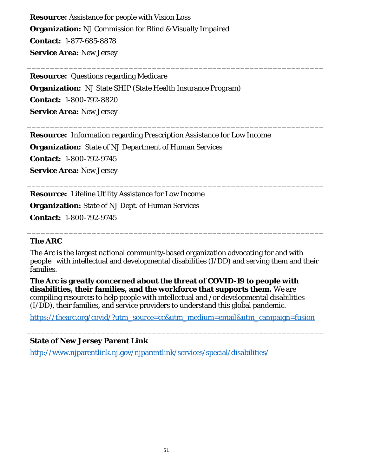**Resource:** Assistance for people with Vision Loss **Organization:** NJ Commission for Blind & Visually Impaired **Contact:** 1-877-685-8878 **Service Area:** New Jersey

**Resource:** Questions regarding Medicare **Organization:** NJ State SHIP (State Health Insurance Program) **Contact:** 1-800-792-8820 **Service Area:** New Jersey

**Resource:** Information regarding Prescription Assistance for Low Income **Organization:** State of NJ Department of Human Services **Contact:** 1-800-792-9745 **Service Area:** New Jersey

**Resource:** Lifeline Utility Assistance for Low Income **Organization:** State of NJ Dept. of Human Services **Contact:** 1-800-792-9745

### **The ARC**

The Arc is the largest national community-based organization advocating for and with people with intellectual and developmental disabilities (I/DD) and serving them and their families.

\_\_\_\_\_\_\_\_\_\_\_\_\_\_\_\_\_\_\_\_\_\_\_\_\_\_\_\_\_\_\_\_\_\_\_\_\_\_\_\_\_\_\_\_\_\_\_\_\_\_\_\_\_\_\_\_\_\_\_\_\_\_\_\_

\_\_\_\_\_\_\_\_\_\_\_\_\_\_\_\_\_\_\_\_\_\_\_\_\_\_\_\_\_\_\_\_\_\_\_\_\_\_\_\_\_\_\_\_\_\_\_\_\_\_\_\_\_\_\_\_\_\_\_\_\_\_\_\_

\_\_\_\_\_\_\_\_\_\_\_\_\_\_\_\_\_\_\_\_\_\_\_\_\_\_\_\_\_\_\_\_\_\_\_\_\_\_\_\_\_\_\_\_\_\_\_\_\_\_\_\_\_\_\_\_\_\_\_\_\_\_\_\_

\_\_\_\_\_\_\_\_\_\_\_\_\_\_\_\_\_\_\_\_\_\_\_\_\_\_\_\_\_\_\_\_\_\_\_\_\_\_\_\_\_\_\_\_\_\_\_\_\_\_\_\_\_\_\_\_\_\_\_\_\_\_\_\_

**The Arc is greatly concerned about the threat of COVID-19 to people with disabilities, their families, and the workforce that supports them.** We are compiling resources to help people with intellectual and /or developmental disabilities (I/DD), their families, and service providers to understand this global pandemic.

[https://thearc.org/covid/?utm\\_source=cc&utm\\_medium=email&utm\\_campaign=fusion](https://thearc.org/covid/?utm_source=cc&utm_medium=email&utm_campaign=fusion)

\_\_\_\_\_\_\_\_\_\_\_\_\_\_\_\_\_\_\_\_\_\_\_\_\_\_\_\_\_\_\_\_\_\_\_\_\_\_\_\_\_\_\_\_\_\_\_\_\_\_\_\_\_\_\_\_\_\_\_\_\_\_\_\_

### **State of New Jersey Parent Link**

<http://www.njparentlink.nj.gov/njparentlink/services/special/disabilities/>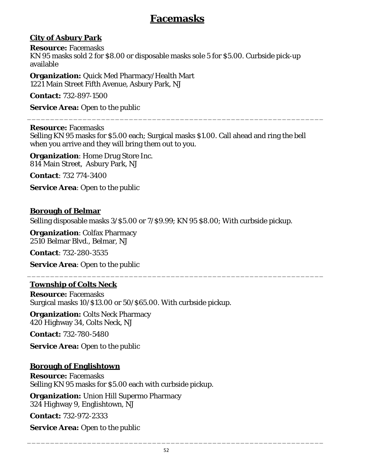# **Facemasks**

# <span id="page-51-0"></span>**City of Asbury Park**

**Resource:** Facemasks KN 95 masks sold 2 for \$8.00 or disposable masks sole 5 for \$5.00. Curbside pick-up available

**Organization:** Quick Med Pharmacy/Health Mart 1221 Main Street Fifth Avenue, Asbury Park, NJ

**Contact:** 732-897-1500

**Service Area:** Open to the public

**Resource:** Facemasks

Selling KN 95 masks for \$5.00 each; Surgical masks \$1.00. Call ahead and ring the bell when you arrive and they will bring them out to you.

\_\_\_\_\_\_\_\_\_\_\_\_\_\_\_\_\_\_\_\_\_\_\_\_\_\_\_\_\_\_\_\_\_\_\_\_\_\_\_\_\_\_\_\_\_\_\_\_\_\_\_\_\_\_\_\_\_\_\_\_\_\_\_\_

**Organization**: Home Drug Store Inc. 814 Main Street, Asbury Park, NJ

**Contact**: 732 774-3400

**Service Area**: Open to the public

# **Borough of Belmar**

Selling disposable masks 3/\$5.00 or 7/\$9.99; KN 95 \$8.00; With curbside pickup.

\_\_\_\_\_\_\_\_\_\_\_\_\_\_\_\_\_\_\_\_\_\_\_\_\_\_\_\_\_\_\_\_\_\_\_\_\_\_\_\_\_\_\_\_\_\_\_\_\_\_\_\_\_\_\_\_\_\_\_\_\_\_\_\_

**Organization**: Colfax Pharmacy 2510 Belmar Blvd., Belmar, NJ

**Contact**: 732-280-3535

**Service Area**: Open to the public

# **Township of Colts Neck**

**Resource:** Facemasks Surgical masks 10/\$13.00 or 50/\$65.00. With curbside pickup.

**Organization:** Colts Neck Pharmacy 420 Highway 34, Colts Neck, NJ

**Contact:** 732-780-5480

**Service Area:** Open to the public

# **Borough of Englishtown**

**Resource:** Facemasks Selling KN 95 masks for \$5.00 each with curbside pickup.

**Organization:** Union Hill Supermo Pharmacy 324 Highway 9, Englishtown, NJ

**Contact:** 732-972-2333

**Service Area:** Open to the public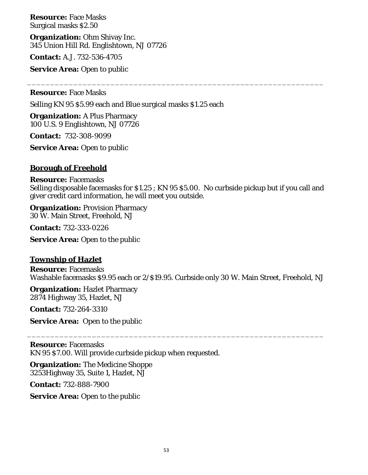**Resource:** Face Masks Surgical masks \$2.50

**Organization:** Ohm Shivay Inc. 345 Union Hill Rd. Englishtown, NJ 07726

**Contact:** A.J. 732-536-4705

**Service Area:** Open to public

**Resource:** Face Masks

Selling KN 95 \$5.99 each and Blue surgical masks \$1.25 each

**Organization:** A Plus Pharmacy 100 U.S. 9 Englishtown, NJ 07726

**Contact:** 732-308-9099

**Service Area:** Open to public

### **Borough of Freehold**

**Resource:** Facemasks Selling disposable facemasks for \$1.25 ; KN 95 \$5.00. No curbside pickup but if you call and giver credit card information, he will meet you outside.

\_\_\_\_\_\_\_\_\_\_\_\_\_\_\_\_\_\_\_\_\_\_\_\_\_\_\_\_\_\_\_\_\_\_\_\_\_\_\_\_\_\_\_\_\_\_\_\_\_\_\_\_\_\_\_\_\_\_\_\_\_\_\_\_

**Organization:** Provision Pharmacy 30 W. Main Street, Freehold, NJ

**Contact:** 732-333-0226

**Service Area:** Open to the public

### **Township of Hazlet**

**Resource:** Facemasks Washable facemasks \$9.95 each or 2/\$19.95. Curbside only 30 W. Main Street, Freehold, NJ

\_\_\_\_\_\_\_\_\_\_\_\_\_\_\_\_\_\_\_\_\_\_\_\_\_\_\_\_\_\_\_\_\_\_\_\_\_\_\_\_\_\_\_\_\_\_\_\_\_\_\_\_\_\_\_\_\_\_\_\_\_\_\_\_

**Organization:** Hazlet Pharmacy 2874 Highway 35, Hazlet, NJ

**Contact:** 732-264-3310

**Service Area:** Open to the public

**Resource:** Facemasks KN 95 \$7.00. Will provide curbside pickup when requested.

**Organization:** The Medicine Shoppe 3253Highway 35, Suite 1, Hazlet, NJ

**Contact:** 732-888-7900

**Service Area:** Open to the public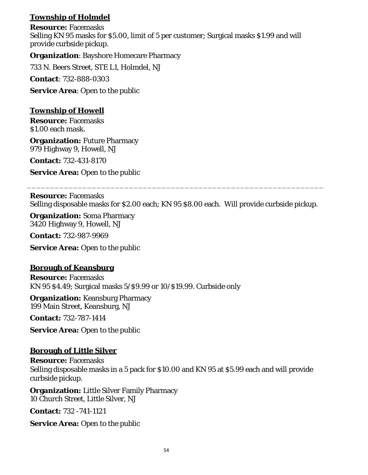# **Township of Holmdel**

**Resource:** Facemasks Selling KN 95 masks for \$5.00, limit of 5 per customer; Surgical masks \$1.99 and will provide curbside pickup.

**Organization**: Bayshore Homecare Pharmacy

733 N. Beers Street, STE L1, Holmdel, NJ

**Contact**: 732-888-0303

**Service Area**: Open to the public

### **Township of Howell**

**Resource:** Facemasks \$1.00 each mask.

**Organization:** Future Pharmacy 979 Highway 9, Howell, NJ

**Contact:** 732-431-8170

**Service Area:** Open to the public

**Resource:** Facemasks Selling disposable masks for \$2.00 each; KN 95 \$8.00 each. Will provide curbside pickup.

\_\_\_\_\_\_\_\_\_\_\_\_\_\_\_\_\_\_\_\_\_\_\_\_\_\_\_\_\_\_\_\_\_\_\_\_\_\_\_\_\_\_\_\_\_\_\_\_\_\_\_\_\_\_\_\_\_\_\_\_\_\_\_\_

**Organization:** Soma Pharmacy 3420 Highway 9, Howell, NJ

**Contact:** 732-987-9969

**Service Area:** Open to the public

### **Borough of Keansburg**

**Resource:** Facemasks KN 95 \$4.49; Surgical masks 5/\$9.99 or 10/\$19.99. Curbside only

**Organization:** Keansburg Pharmacy 199 Main Street, Keansburg, NJ

**Contact:** 732-787-1414

**Service Area:** Open to the public

### **Borough of Little Silver**

**Resource:** Facemasks Selling disposable masks in a 5 pack for \$10.00 and KN 95 at \$5.99 each and will provide curbside pickup.

**Organization:** Little Silver Family Pharmacy 10 Church Street, Little Silver, NJ

**Contact:** 732 -741-1121

**Service Area:** Open to the public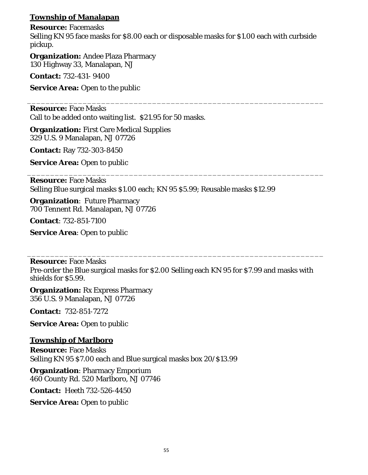# **Township of Manalapan**

**Resource:** Facemasks

Selling KN 95 face masks for \$8.00 each or disposable masks for \$1.00 each with curbside pickup.

\_\_\_\_\_\_\_\_\_\_\_\_\_\_\_\_\_\_\_\_\_\_\_\_\_\_\_\_\_\_\_\_\_\_\_\_\_\_\_\_\_\_\_\_\_\_\_\_\_\_\_\_\_\_\_\_\_\_\_\_\_\_\_\_

\_\_\_\_\_\_\_\_\_\_\_\_\_\_\_\_\_\_\_\_\_\_\_\_\_\_\_\_\_\_\_\_\_\_\_\_\_\_\_\_\_\_\_\_\_\_\_\_\_\_\_\_\_\_\_\_\_\_\_\_\_\_\_\_

**Organization:** Andee Plaza Pharmacy 130 Highway 33, Manalapan, NJ

**Contact:** 732-431- 9400

**Service Area:** Open to the public

**Resource:** Face Masks Call to be added onto waiting list. \$21.95 for 50 masks.

**Organization:** First Care Medical Supplies 329 U.S. 9 Manalapan, NJ 07726

**Contact:** Ray 732-303-8450

**Service Area:** Open to public

**Resource:** Face Masks Selling Blue surgical masks \$1.00 each; KN 95 \$5.99; Reusable masks \$12.99

**Organization**: Future Pharmacy 700 Tennent Rd. Manalapan, NJ 07726

**Contact**: 732-851-7100

**Service Area**: Open to public

**Resource:** Face Masks

Pre-order the Blue surgical masks for \$2.00 Selling each KN 95 for \$7.99 and masks with shields for \$5.99.

\_\_\_\_\_\_\_\_\_\_\_\_\_\_\_\_\_\_\_\_\_\_\_\_\_\_\_\_\_\_\_\_\_\_\_\_\_\_\_\_\_\_\_\_\_\_\_\_\_\_\_\_\_\_\_\_\_\_\_\_\_\_\_\_

**Organization:** Rx Express Pharmacy 356 U.S. 9 Manalapan, NJ 07726

**Contact:** 732-851-7272

**Service Area:** Open to public

### **Township of Marlboro**

**Resource:** Face Masks Selling KN 95 \$7.00 each and Blue surgical masks box 20/\$13.99

**Organization**: Pharmacy Emporium 460 County Rd. 520 Marlboro, NJ 07746

**Contact:** Heeth 732-526-4450

**Service Area:** Open to public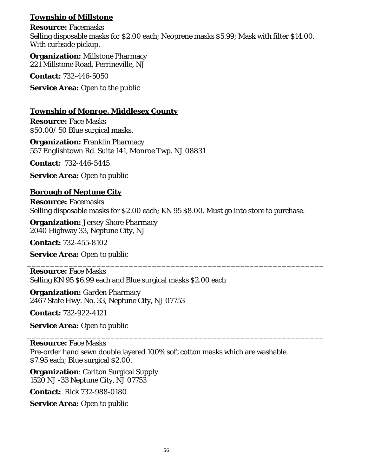# **Township of Millstone**

**Resource:** Facemasks Selling disposable masks for \$2.00 each; Neoprene masks \$5.99; Mask with filter \$14.00. With curbside pickup.

**Organization:** Millstone Pharmacy 221 Millstone Road, Perrineville, NJ

**Contact:** 732-446-5050

**Service Area:** Open to the public

### **Township of Monroe, Middlesex County**

**Resource:** Face Masks \$50.00/ 50 Blue surgical masks.

**Organization:** Franklin Pharmacy 557 Englishtown Rd. Suite 141, Monroe Twp. NJ 08831

**Contact:** 732-446-5445

**Service Area:** Open to public

### **Borough of Neptune City**

**Resource:** Facemasks Selling disposable masks for \$2.00 each; KN 95 \$8.00. Must go into store to purchase.

\_\_\_\_\_\_\_\_\_\_\_\_\_\_\_\_\_\_\_\_\_\_\_\_\_\_\_\_\_\_\_\_\_\_\_\_\_\_\_\_\_\_\_\_\_\_\_\_\_\_\_\_\_\_\_\_\_\_\_\_\_\_\_\_

\_\_\_\_\_\_\_\_\_\_\_\_\_\_\_\_\_\_\_\_\_\_\_\_\_\_\_\_\_\_\_\_\_\_\_\_\_\_\_\_\_\_\_\_\_\_\_\_\_\_\_\_\_\_\_\_\_\_\_\_\_\_\_\_

**Organization:** Jersey Shore Pharmacy 2040 Highway 33, Neptune City, NJ

**Contact:** 732-455-8102

**Service Area:** Open to public

**Resource:** Face Masks Selling KN 95 \$6.99 each and Blue surgical masks \$2.00 each

**Organization:** Garden Pharmacy 2467 State Hwy. No. 33, Neptune City, NJ 07753

**Contact:** 732-922-4121

**Service Area:** Open to public

**Resource:** Face Masks Pre-order hand sewn double layered 100% soft cotton masks which are washable. \$7.95 each; Blue surgical \$2.00.

**Organization**: Carlton Surgical Supply 1520 NJ -33 Neptune City, NJ 07753

**Contact:** Rick 732-988-0180

**Service Area:** Open to public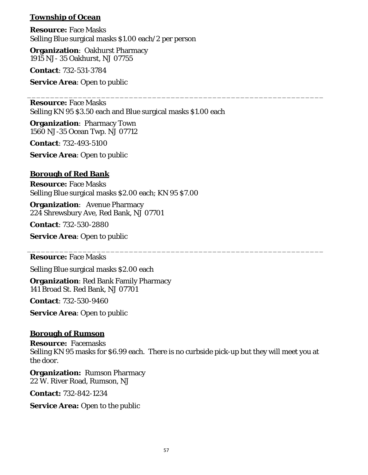### **Township of Ocean**

**Resource:** Face Masks Selling Blue surgical masks \$1.00 each/2 per person

**Organization**: Oakhurst Pharmacy 1915 NJ- 35 Oakhurst, NJ 07755

**Contact**: 732-531-3784

**Service Area**: Open to public

**Resource:** Face Masks Selling KN 95 \$3.50 each and Blue surgical masks \$1.00 each

\_\_\_\_\_\_\_\_\_\_\_\_\_\_\_\_\_\_\_\_\_\_\_\_\_\_\_\_\_\_\_\_\_\_\_\_\_\_\_\_\_\_\_\_\_\_\_\_\_\_\_\_\_\_\_\_\_\_\_\_\_\_\_\_

**Organization**: Pharmacy Town 1560 NJ-35 Ocean Twp. NJ 07712

**Contact**: 732-493-5100

**Service Area**: Open to public

### **Borough of Red Bank**

**Resource:** Face Masks Selling Blue surgical masks \$2.00 each; KN 95 \$7.00

**Organization**: Avenue Pharmacy 224 Shrewsbury Ave, Red Bank, NJ 07701

**Contact**: 732-530-2880

**Service Area**: Open to public

**Resource:** Face Masks

Selling Blue surgical masks \$2.00 each

**Organization**: Red Bank Family Pharmacy 141 Broad St. Red Bank, NJ 07701

**Contact**: 732-530-9460

**Service Area**: Open to public

### **Borough of Rumson**

**Resource:** Facemasks Selling KN 95 masks for \$6.99 each. There is no curbside pick-up but they will meet you at the door.

\_\_\_\_\_\_\_\_\_\_\_\_\_\_\_\_\_\_\_\_\_\_\_\_\_\_\_\_\_\_\_\_\_\_\_\_\_\_\_\_\_\_\_\_\_\_\_\_\_\_\_\_\_\_\_\_\_\_\_\_\_\_\_\_

**Organization:** Rumson Pharmacy 22 W. River Road, Rumson, NJ

**Contact:** 732-842-1234

**Service Area:** Open to the public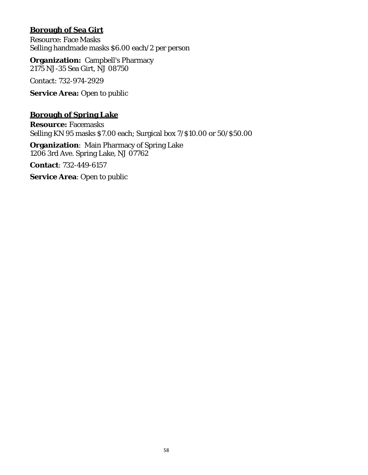## **Borough of Sea Girt**

Resource: Face Masks Selling handmade masks \$6.00 each/2 per person

**Organization:** Campbell's Pharmacy 2175 NJ-35 Sea Girt, NJ 08750

Contact: 732-974-2929

**Service Area:** Open to public

### **Borough of Spring Lake**

**Resource:** Facemasks Selling KN 95 masks \$7.00 each; Surgical box 7/\$10.00 or 50/\$50.00

**Organization**: Main Pharmacy of Spring Lake 1206 3rd Ave. Spring Lake, NJ 07762

**Contact**: 732-449-6157

**Service Area**: Open to public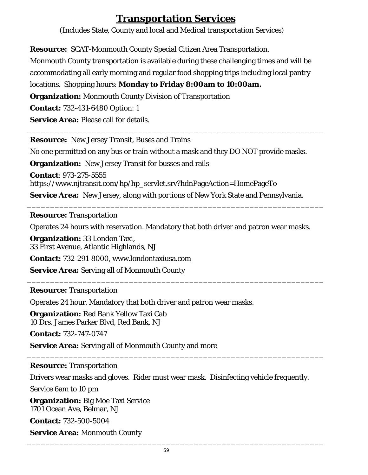# **Transportation Services**

(Includes State, County and local and Medical transportation Services)

<span id="page-58-1"></span><span id="page-58-0"></span>**Resource:** SCAT-Monmouth County Special Citizen Area Transportation.

Monmouth County transportation is available during these challenging times and will be accommodating all early morning and regular food shopping trips including local pantry

locations. Shopping hours: **Monday to Friday 8:00am to 10:00am.**

**Organization:** Monmouth County Division of Transportation

**Contact:** 732-431-6480 Option: 1

**Service Area:** Please call for details.

**Resource:** New Jersey Transit, Buses and Trains

No one permitted on any bus or train without a mask and they DO NOT provide masks.

\_\_\_\_\_\_\_\_\_\_\_\_\_\_\_\_\_\_\_\_\_\_\_\_\_\_\_\_\_\_\_\_\_\_\_\_\_\_\_\_\_\_\_\_\_\_\_\_\_\_\_\_\_\_\_\_\_\_\_\_\_\_\_\_

**Organization:** New Jersey Transit for busses and rails

**Contact**: 973-275-5555 https://www.njtransit.com/hp/hp\_servlet.srv?hdnPageAction=HomePageTo **Service Area:** New Jersey, along with portions of New York State and Pennsylvania.

**Resource:** Transportation

Operates 24 hours with reservation. Mandatory that both driver and patron wear masks.

\_\_\_\_\_\_\_\_\_\_\_\_\_\_\_\_\_\_\_\_\_\_\_\_\_\_\_\_\_\_\_\_\_\_\_\_\_\_\_\_\_\_\_\_\_\_\_\_\_\_\_\_\_\_\_\_\_\_\_\_\_\_\_\_

**Organization:** 33 London Taxi, 33 First Avenue, Atlantic Highlands, NJ

**Contact:** 732-291-8000, [www.londontaxiusa.com](http://www.londontaxiusa.com/)

**Service Area:** Serving all of Monmouth County \_\_\_\_\_\_\_\_\_\_\_\_\_\_\_\_\_\_\_\_\_\_\_\_\_\_\_\_\_\_\_\_\_\_\_\_\_\_\_\_\_\_\_\_\_\_\_\_\_\_\_\_\_\_\_\_\_\_\_\_\_\_\_\_

# **Resource:** Transportation

Operates 24 hour. Mandatory that both driver and patron wear masks.

**Organization:** Red Bank Yellow Taxi Cab 10 Drs. James Parker Blvd, Red Bank, NJ

**Contact:** 732-747-0747

**Service Area:** Serving all of Monmouth County and more

# **Resource:** Transportation

Drivers wear masks and gloves. Rider must wear mask. Disinfecting vehicle frequently.

\_\_\_\_\_\_\_\_\_\_\_\_\_\_\_\_\_\_\_\_\_\_\_\_\_\_\_\_\_\_\_\_\_\_\_\_\_\_\_\_\_\_\_\_\_\_\_\_\_\_\_\_\_\_\_\_\_\_\_\_\_\_\_\_

Service 6am to 10 pm

**Organization:** Big Moe Taxi Service 1701 Ocean Ave, Belmar, NJ

**Contact:** 732-500-5004

**Service Area:** Monmouth County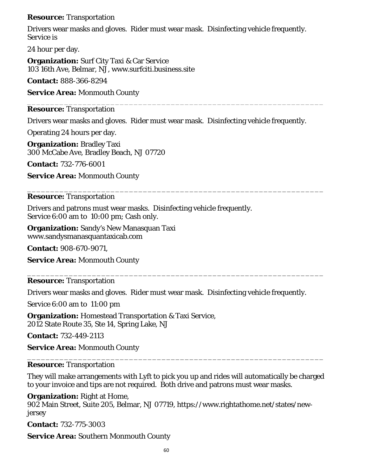### **Resource:** Transportation

Drivers wear masks and gloves. Rider must wear mask. Disinfecting vehicle frequently. Service is

24 hour per day.

**Organization:** Surf City Taxi & Car Service 103 16th Ave, Belmar, NJ, www.surfciti.business.site

**Contact:** 888-366-8294

**Service Area:** Monmouth County

#### \_\_\_\_\_\_\_\_\_\_\_\_\_\_\_\_\_\_\_\_\_\_\_\_\_\_\_\_\_\_\_\_\_\_\_\_\_\_\_\_\_\_\_\_\_\_\_\_\_\_\_\_\_\_\_\_\_\_\_\_\_\_\_\_ **Resource:** Transportation

Drivers wear masks and gloves. Rider must wear mask. Disinfecting vehicle frequently.

\_\_\_\_\_\_\_\_\_\_\_\_\_\_\_\_\_\_\_\_\_\_\_\_\_\_\_\_\_\_\_\_\_\_\_\_\_\_\_\_\_\_\_\_\_\_\_\_\_\_\_\_\_\_\_\_\_\_\_\_\_\_\_\_

Operating 24 hours per day.

**Organization:** Bradley Taxi 300 McCabe Ave, Bradley Beach, NJ 07720

**Contact:** 732-776-6001

**Service Area:** Monmouth County

### **Resource:** Transportation

Drivers and patrons must wear masks. Disinfecting vehicle frequently. Service 6:00 am to 10:00 pm; Cash only.

**Organization:** Sandy's New Manasquan Taxi www.sandysmanasquantaxicab.com

**Contact:** 908-670-9071,

**Service Area:** Monmouth County

**Resource:** Transportation

Drivers wear masks and gloves. Rider must wear mask. Disinfecting vehicle frequently.

\_\_\_\_\_\_\_\_\_\_\_\_\_\_\_\_\_\_\_\_\_\_\_\_\_\_\_\_\_\_\_\_\_\_\_\_\_\_\_\_\_\_\_\_\_\_\_\_\_\_\_\_\_\_\_\_\_\_\_\_\_\_\_\_

Service 6:00 am to 11:00 pm

**Organization:** Homestead Transportation & Taxi Service, 2012 State Route 35, Ste 14, Spring Lake, NJ

**Contact:** 732-449-2113

**Service Area:** Monmouth County

### **Resource:** Transportation

They will make arrangements with Lyft to pick you up and rides will automatically be charged to your invoice and tips are not required. Both drive and patrons must wear masks.

\_\_\_\_\_\_\_\_\_\_\_\_\_\_\_\_\_\_\_\_\_\_\_\_\_\_\_\_\_\_\_\_\_\_\_\_\_\_\_\_\_\_\_\_\_\_\_\_\_\_\_\_\_\_\_\_\_\_\_\_\_\_\_\_

**Organization:** Right at Home,

902 Main Street, Suite 205, Belmar, NJ 07719, https://www.rightathome.net/states/newjersey

**Contact:** 732-775-3003

**Service Area:** Southern Monmouth County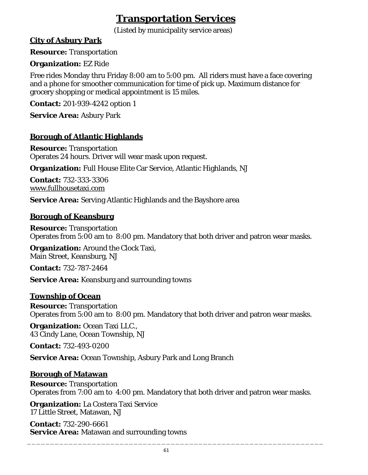# **Transportation Services**

(Listed by municipality service areas)

### <span id="page-60-1"></span><span id="page-60-0"></span>**City of Asbury Park**

**Resource:** Transportation

### **Organization:** EZ Ride

Free rides Monday thru Friday 8:00 am to 5:00 pm. All riders must have a face covering and a phone for smoother communication for time of pick up. Maximum distance for grocery shopping or medical appointment is 15 miles.

**Contact:** 201-939-4242 option 1

**Service Area:** Asbury Park

# **Borough of Atlantic Highlands**

**Resource:** Transportation Operates 24 hours. Driver will wear mask upon request.

**Organization:** Full House Elite Car Service, Atlantic Highlands, NJ

**Contact:** 732-333-3306 [www.fullhousetaxi.com](http://www.fullhousetaxi.com/)

**Service Area:** Serving Atlantic Highlands and the Bayshore area

### **Borough of Keansburg**

**Resource:** Transportation Operates from 5:00 am to 8:00 pm. Mandatory that both driver and patron wear masks.

**Organization:** Around the Clock Taxi. Main Street, Keansburg, NJ

**Contact:** 732-787-2464

**Service Area:** Keansburg and surrounding towns

### **Township of Ocean**

**Resource:** Transportation Operates from 5:00 am to 8:00 pm. Mandatory that both driver and patron wear masks.

**Organization:** Ocean Taxi LLC., 43 Cindy Lane, Ocean Township, NJ

**Contact:** 732-493-0200

**Service Area:** Ocean Township, Asbury Park and Long Branch

### **Borough of Matawan**

**Resource:** Transportation Operates from 7:00 am to 4:00 pm. Mandatory that both driver and patron wear masks.

**Organization:** La Costera Taxi Service 17 Little Street, Matawan, NJ

**Contact:** 732-290-6661 **Service Area:** Matawan and surrounding towns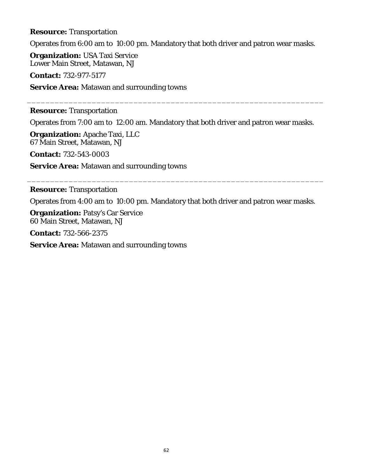**Resource:** Transportation

Operates from 6:00 am to 10:00 pm. Mandatory that both driver and patron wear masks.

**Organization:** USA Taxi Service Lower Main Street, Matawan, NJ

**Contact:** 732-977-5177

**Service Area:** Matawan and surrounding towns

### **Resource:** Transportation

Operates from 7:00 am to 12:00 am. Mandatory that both driver and patron wear masks.

\_\_\_\_\_\_\_\_\_\_\_\_\_\_\_\_\_\_\_\_\_\_\_\_\_\_\_\_\_\_\_\_\_\_\_\_\_\_\_\_\_\_\_\_\_\_\_\_\_\_\_\_\_\_\_\_\_\_\_\_\_\_\_\_

**Organization:** Apache Taxi, LLC 67 Main Street, Matawan, NJ

**Contact:** 732-543-0003

**Service Area:** Matawan and surrounding towns

### **Resource:** Transportation

Operates from 4:00 am to 10:00 pm. Mandatory that both driver and patron wear masks.

\_\_\_\_\_\_\_\_\_\_\_\_\_\_\_\_\_\_\_\_\_\_\_\_\_\_\_\_\_\_\_\_\_\_\_\_\_\_\_\_\_\_\_\_\_\_\_\_\_\_\_\_\_\_\_\_\_\_\_\_\_\_\_\_

**Organization:** Patsy's Car Service 60 Main Street, Matawan, NJ

**Contact:** 732-566-2375

**Service Area:** Matawan and surrounding towns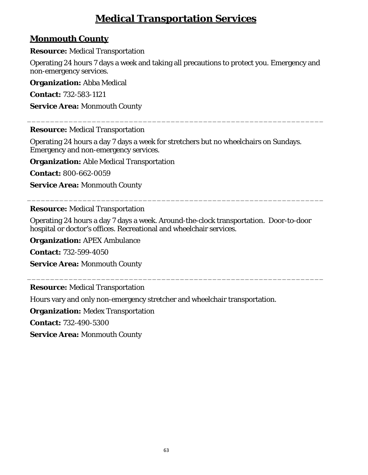# **Medical Transportation Services**

# <span id="page-62-0"></span>**Monmouth County**

**Resource:** Medical Transportation

Operating 24 hours 7 days a week and taking all precautions to protect you. Emergency and non-emergency services.

\_\_\_\_\_\_\_\_\_\_\_\_\_\_\_\_\_\_\_\_\_\_\_\_\_\_\_\_\_\_\_\_\_\_\_\_\_\_\_\_\_\_\_\_\_\_\_\_\_\_\_\_\_\_\_\_\_\_\_\_\_\_\_\_

**Organization:** Abba Medical

**Contact:** 732-583-1121

**Service Area:** Monmouth County

### **Resource:** Medical Transportation

Operating 24 hours a day 7 days a week for stretchers but no wheelchairs on Sundays. Emergency and non-emergency services.

**Organization:** Able Medical Transportation

**Contact:** 800-662-0059

**Service Area:** Monmouth County

### **Resource:** Medical Transportation

Operating 24 hours a day 7 days a week. Around-the-clock transportation. Door-to-door hospital or doctor's offices. Recreational and wheelchair services.

\_\_\_\_\_\_\_\_\_\_\_\_\_\_\_\_\_\_\_\_\_\_\_\_\_\_\_\_\_\_\_\_\_\_\_\_\_\_\_\_\_\_\_\_\_\_\_\_\_\_\_\_\_\_\_\_\_\_\_\_\_\_\_\_

\_\_\_\_\_\_\_\_\_\_\_\_\_\_\_\_\_\_\_\_\_\_\_\_\_\_\_\_\_\_\_\_\_\_\_\_\_\_\_\_\_\_\_\_\_\_\_\_\_\_\_\_\_\_\_\_\_\_\_\_\_\_\_\_

**Organization:** APEX Ambulance

**Contact:** 732-599-4050

**Service Area:** Monmouth County

**Resource:** Medical Transportation

Hours vary and only non-emergency stretcher and wheelchair transportation.

**Organization:** Medex Transportation

**Contact:** 732-490-5300

**Service Area:** Monmouth County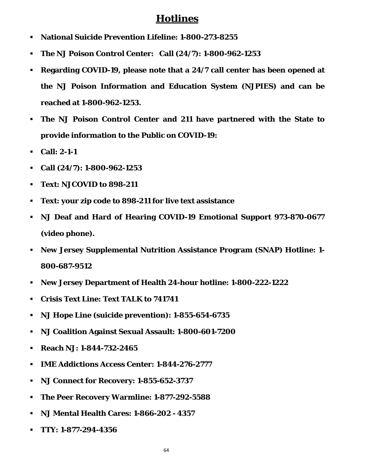# **Hotlines**

- <span id="page-63-0"></span>**National Suicide Prevention Lifeline: 1-800-273-8255**
- **The NJ Poison Control Center: Call (24/7): 1-800-962-1253**
- **Regarding COVID-19, please note that a 24/7 call center has been opened at the NJ Poison Information and Education System (NJPIES) and can be reached at 1-800-962-1253.**
- **The NJ Poison Control Center and 211 have partnered with the State to provide information to the Public on COVID-19:**
- **Call: 2-1-1**
- **Call (24/7): 1-800-962-1253**
- **Text: NJCOVID to 898-211**
- **Text: your zip code to 898-211 for live text assistance**
- **NJ Deaf and Hard of Hearing COVID-19 Emotional Support 973-870-0677 (video phone).**
- **New Jersey Supplemental Nutrition Assistance Program (SNAP) Hotline: 1- 800-687-9512**
- **New Jersey Department of Health 24-hour hotline: 1-800-222-1222**
- **Crisis Text Line: Text TALK to 741741**
- **NJ Hope Line (suicide prevention): 1-855-654-6735**
- **NJ Coalition Against Sexual Assault: 1-800-601-7200**
- **Reach NJ: 1-844-732-2465**
- **IME Addictions Access Center: 1-844-276-2777**
- **NJ Connect for Recovery: 1-855-652-3737**
- **The Peer Recovery Warmline: 1-877-292-5588**
- **NJ Mental Health Cares: 1-866-202 - 4357**
- **TTY: 1-877-294-4356**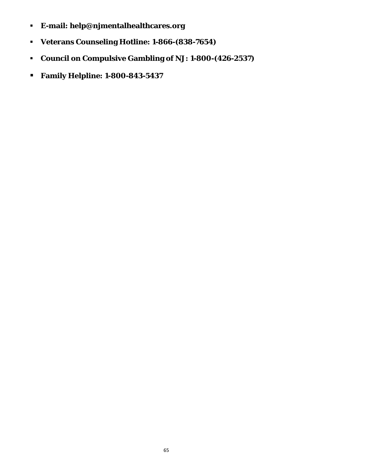- **E-mail: help@njmentalhealthcares.org**
- **Veterans Counseling Hotline: 1-866-(838-7654)**
- **Council on Compulsive Gambling of NJ: 1-800-(426-2537)**
- **Family Helpline: 1-800-843-5437**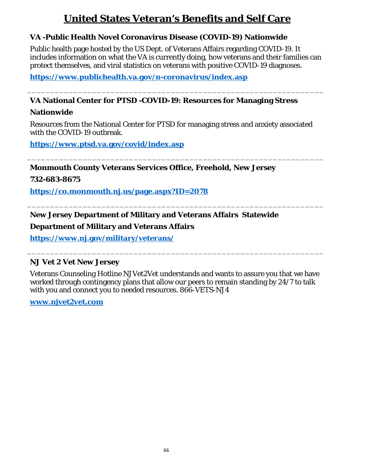# **United States Veteran's Benefits and Self Care**

### <span id="page-65-0"></span>**VA -Public Health Novel Coronavirus Disease (COVID-19) Nationwide**

Public health page hosted by the US Dept. of Veterans Affairs regarding COVID-19. It includes information on what the VA is currently doing, how veterans and their families can protect themselves, and viral statistics on veterans with positive COVID-19 diagnoses.

\_\_\_\_\_\_\_\_\_\_\_\_\_\_\_\_\_\_\_\_\_\_\_\_\_\_\_\_\_\_\_\_\_\_\_\_\_\_\_\_\_\_\_\_\_\_\_\_\_\_\_\_\_\_\_\_\_\_\_\_\_\_\_\_

**<https://www.publichealth.va.gov/n-coronavirus/index.asp>**

### **VA National Center for PTSD -COVID-19: Resources for Managing Stress**

### **Nationwide**

Resources from the National Center for PTSD for managing stress and anxiety associated with the COVID-19 outbreak.

\_\_\_\_\_\_\_\_\_\_\_\_\_\_\_\_\_\_\_\_\_\_\_\_\_\_\_\_\_\_\_\_\_\_\_\_\_\_\_\_\_\_\_\_\_\_\_\_\_\_\_\_\_\_\_\_\_\_\_\_\_\_\_\_

\_\_\_\_\_\_\_\_\_\_\_\_\_\_\_\_\_\_\_\_\_\_\_\_\_\_\_\_\_\_\_\_\_\_\_\_\_\_\_\_\_\_\_\_\_\_\_\_\_\_\_\_\_\_\_\_\_\_\_\_\_\_\_\_

**<https://www.ptsd.va.gov/covid/index.asp>**

**Monmouth County Veterans Services Office, Freehold, New Jersey**

**732-683-8675**

**<https://co.monmouth.nj.us/page.aspx?ID=2078>**

## **New Jersey Department of Military and Veterans Affairs Statewide**

### **Department of Military and Veterans Affairs**

**<https://www.nj.gov/military/veterans/>**

### **NJ Vet 2 Vet New Jersey**

Veterans Counseling Hotline NJVet2Vet understands and wants to assure you that we have worked through contingency plans that allow our peers to remain standing by 24/7 to talk with you and connect you to needed resources. 866-VETS-NJ4

\_\_\_\_\_\_\_\_\_\_\_\_\_\_\_\_\_\_\_\_\_\_\_\_\_\_\_\_\_\_\_\_\_\_\_\_\_\_\_\_\_\_\_\_\_\_\_\_\_\_\_\_\_\_\_\_\_\_\_\_\_\_\_\_

**[www.njvet2vet.com](http://www.njvet2vet.com/)**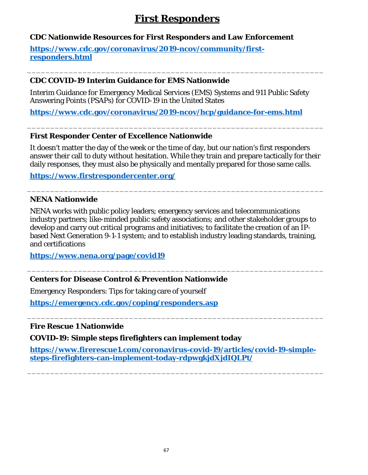# **First Responders**

### <span id="page-66-0"></span>**CDC Nationwide Resources for First Responders and Law Enforcement**

**[https://www.cdc.gov/coronavirus/2019-ncov/community/first](https://www.cdc.gov/coronavirus/2019-ncov/community/first-responders.html)[responders.html](https://www.cdc.gov/coronavirus/2019-ncov/community/first-responders.html)**

### **CDC COVID-19 Interim Guidance for EMS Nationwide**

Interim Guidance for Emergency Medical Services (EMS) Systems and 911 Public Safety Answering Points (PSAPs) for COVID-19 in the United States

\_\_\_\_\_\_\_\_\_\_\_\_\_\_\_\_\_\_\_\_\_\_\_\_\_\_\_\_\_\_\_\_\_\_\_\_\_\_\_\_\_\_\_\_\_\_\_\_\_\_\_\_\_\_\_\_\_\_\_\_\_\_\_\_

**<https://www.cdc.gov/coronavirus/2019-ncov/hcp/guidance-for-ems.html>**

### **First Responder Center of Excellence Nationwide**

It doesn't matter the day of the week or the time of day, but our nation's first responders answer their call to duty without hesitation. While they train and prepare tactically for their daily responses, they must also be physically and mentally prepared for those same calls.

\_\_\_\_\_\_\_\_\_\_\_\_\_\_\_\_\_\_\_\_\_\_\_\_\_\_\_\_\_\_\_\_\_\_\_\_\_\_\_\_\_\_\_\_\_\_\_\_\_\_\_\_\_\_\_\_\_\_\_\_\_\_\_\_

\_\_\_\_\_\_\_\_\_\_\_\_\_\_\_\_\_\_\_\_\_\_\_\_\_\_\_\_\_\_\_\_\_\_\_\_\_\_\_\_\_\_\_\_\_\_\_\_\_\_\_\_\_\_\_\_\_\_\_\_\_\_\_\_

**<https://www.firstrespondercenter.org/>**

### **NENA Nationwide**

NENA works with public policy leaders; emergency services and telecommunications industry partners; like-minded public safety associations; and other stakeholder groups to develop and carry out critical programs and initiatives; to facilitate the creation of an IPbased Next Generation 9-1-1 system; and to establish industry leading standards, training, and certifications

\_\_\_\_\_\_\_\_\_\_\_\_\_\_\_\_\_\_\_\_\_\_\_\_\_\_\_\_\_\_\_\_\_\_\_\_\_\_\_\_\_\_\_\_\_\_\_\_\_\_\_\_\_\_\_\_\_\_\_\_\_\_\_\_

\_\_\_\_\_\_\_\_\_\_\_\_\_\_\_\_\_\_\_\_\_\_\_\_\_\_\_\_\_\_\_\_\_\_\_\_\_\_\_\_\_\_\_\_\_\_\_\_\_\_\_\_\_\_\_\_\_\_\_\_\_\_\_\_

**<https://www.nena.org/page/covid19>**

### **Centers for Disease Control & Prevention Nationwide**

Emergency Responders: Tips for taking care of yourself

**<https://emergency.cdc.gov/coping/responders.asp>**

**Fire Rescue 1 Nationwide**

**COVID-19: Simple steps firefighters can implement today**

**[https://www.firerescue1.com/coronavirus-covid-19/articles/covid-19-simple](https://www.firerescue1.com/coronavirus-covid-19/articles/covid-19-simple-steps-firefighters-can-implement-today-rdpwgkjdXjdIQLPt/)[steps-firefighters-can-implement-today-rdpwgkjdXjdIQLPt/](https://www.firerescue1.com/coronavirus-covid-19/articles/covid-19-simple-steps-firefighters-can-implement-today-rdpwgkjdXjdIQLPt/)**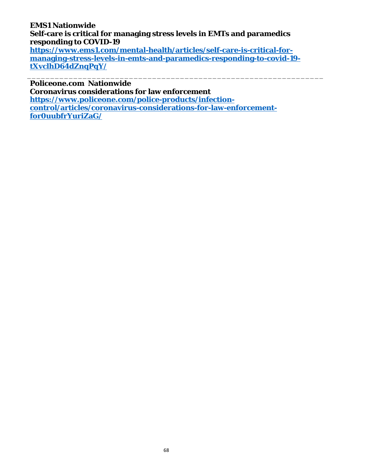# **EMS1 Nationwide Self-care is critical for managing stress levels in EMTs and paramedics responding to COVID-19**

**[https://www.ems1.com/mental-health/articles/self-care-is-critical-for](https://www.ems1.com/mental-health/articles/self-care-is-critical-for-managing-stress-levels-in-emts-and-paramedics-responding-to-covid-19-tXvclhD64dZnqPqY/)[managing-stress-levels-in-emts-and-paramedics-responding-to-covid-19](https://www.ems1.com/mental-health/articles/self-care-is-critical-for-managing-stress-levels-in-emts-and-paramedics-responding-to-covid-19-tXvclhD64dZnqPqY/) [tXvclhD64dZnqPqY/](https://www.ems1.com/mental-health/articles/self-care-is-critical-for-managing-stress-levels-in-emts-and-paramedics-responding-to-covid-19-tXvclhD64dZnqPqY/)**

\_\_\_\_\_\_\_\_\_\_\_\_\_\_\_\_\_\_\_\_\_\_\_\_\_\_\_\_\_\_\_\_\_\_\_\_\_\_\_\_\_\_\_\_\_\_\_\_\_\_\_\_\_\_\_\_\_\_\_\_\_\_\_\_

**Policeone.com Nationwide**

**Coronavirus considerations for law enforcement**

**[https://www.policeone.com/police-products/infection](https://www.policeone.com/police-products/infection-control/articles/coronavirus-considerations-for-law-enforcement-for0uubfrYuriZaG/)[control/articles/coronavirus-considerations-for-law-enforcement](https://www.policeone.com/police-products/infection-control/articles/coronavirus-considerations-for-law-enforcement-for0uubfrYuriZaG/)[for0uubfrYuriZaG/](https://www.policeone.com/police-products/infection-control/articles/coronavirus-considerations-for-law-enforcement-for0uubfrYuriZaG/)**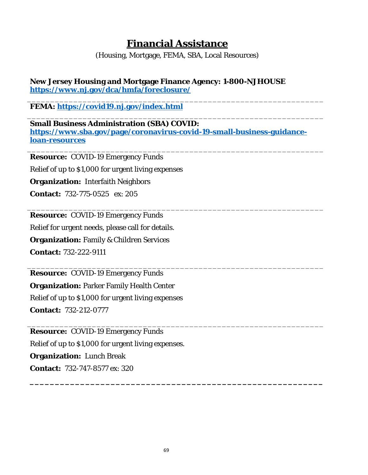# **Financial Assistance**

(Housing, Mortgage, FEMA, SBA, Local Resources)

### <span id="page-68-1"></span><span id="page-68-0"></span>**New Jersey Housing and Mortgage Finance Agency: 1-800-NJHOUSE <https://www.nj.gov/dca/hmfa/foreclosure/>**

\_\_\_\_\_\_\_\_\_\_\_\_\_\_\_\_\_\_\_\_\_\_\_\_\_\_\_\_\_\_\_\_\_\_\_\_\_\_\_\_\_\_\_\_\_\_\_\_\_\_\_\_\_\_\_\_\_\_\_\_\_\_\_\_ **FEMA:<https://covid19.nj.gov/index.html>**

\_\_\_\_\_\_\_\_\_\_\_\_\_\_\_\_\_\_\_\_\_\_\_\_\_\_\_\_\_\_\_\_\_\_\_\_\_\_\_\_\_\_\_\_\_\_\_\_\_\_\_\_\_\_\_\_\_\_\_\_\_\_\_\_ **Small Business Administration (SBA) COVID: [https://www.sba.gov/page/coronavirus-covid-19-small-business-guidance](https://www.sba.gov/page/coronavirus-covid-19-small-business-guidance-loan-resources)[loan-resources](https://www.sba.gov/page/coronavirus-covid-19-small-business-guidance-loan-resources)**

\_\_\_\_\_\_\_\_\_\_\_\_\_\_\_\_\_\_\_\_\_\_\_\_\_\_\_\_\_\_\_\_\_\_\_\_\_\_\_\_\_\_\_\_\_\_\_\_\_\_\_\_\_\_\_\_\_\_\_\_\_\_\_\_

\_\_\_\_\_\_\_\_\_\_\_\_\_\_\_\_\_\_\_\_\_\_\_\_\_\_\_\_\_\_\_\_\_\_\_\_\_\_\_\_\_\_\_\_\_\_\_\_\_\_\_\_\_\_\_\_\_\_\_\_\_\_\_\_

\_\_\_\_\_\_\_\_\_\_\_\_\_\_\_\_\_\_\_\_\_\_\_\_\_\_\_\_\_\_\_\_\_\_\_\_\_\_\_\_\_\_\_\_\_\_\_\_\_\_\_\_\_\_\_\_\_\_\_\_\_\_\_\_

**\_\_\_\_\_\_\_\_\_\_\_\_\_\_\_\_\_\_\_\_\_\_\_\_\_\_\_\_\_\_\_\_\_\_\_\_\_\_\_\_\_\_\_\_\_\_\_\_\_\_\_\_\_\_\_\_\_\_**

\_\_\_\_\_\_\_\_\_\_\_\_\_\_\_\_\_\_\_\_\_\_\_\_\_\_\_\_\_\_\_\_\_\_\_\_\_\_\_\_\_\_\_\_\_\_\_\_\_\_\_\_\_\_\_\_\_\_\_\_\_\_\_\_ **Resource:** COVID-19 Emergency Funds

Relief of up to \$1,000 for urgent living expenses

**Organization:** Interfaith Neighbors

**Contact:** 732-775-0525 ex: 205

**Resource:** COVID-19 Emergency Funds

Relief for urgent needs, please call for details.

**Organization:** Family & Children Services

**Contact:** 732-222-9111

**Resource:** COVID-19 Emergency Funds **Organization:** Parker Family Health Center Relief of up to \$1,000 for urgent living expenses **Contact:** 732-212-0777

**Resource:** COVID-19 Emergency Funds Relief of up to \$1,000 for urgent living expenses. **Organization:** Lunch Break **Contact:** 732-747-8577 ex: 320